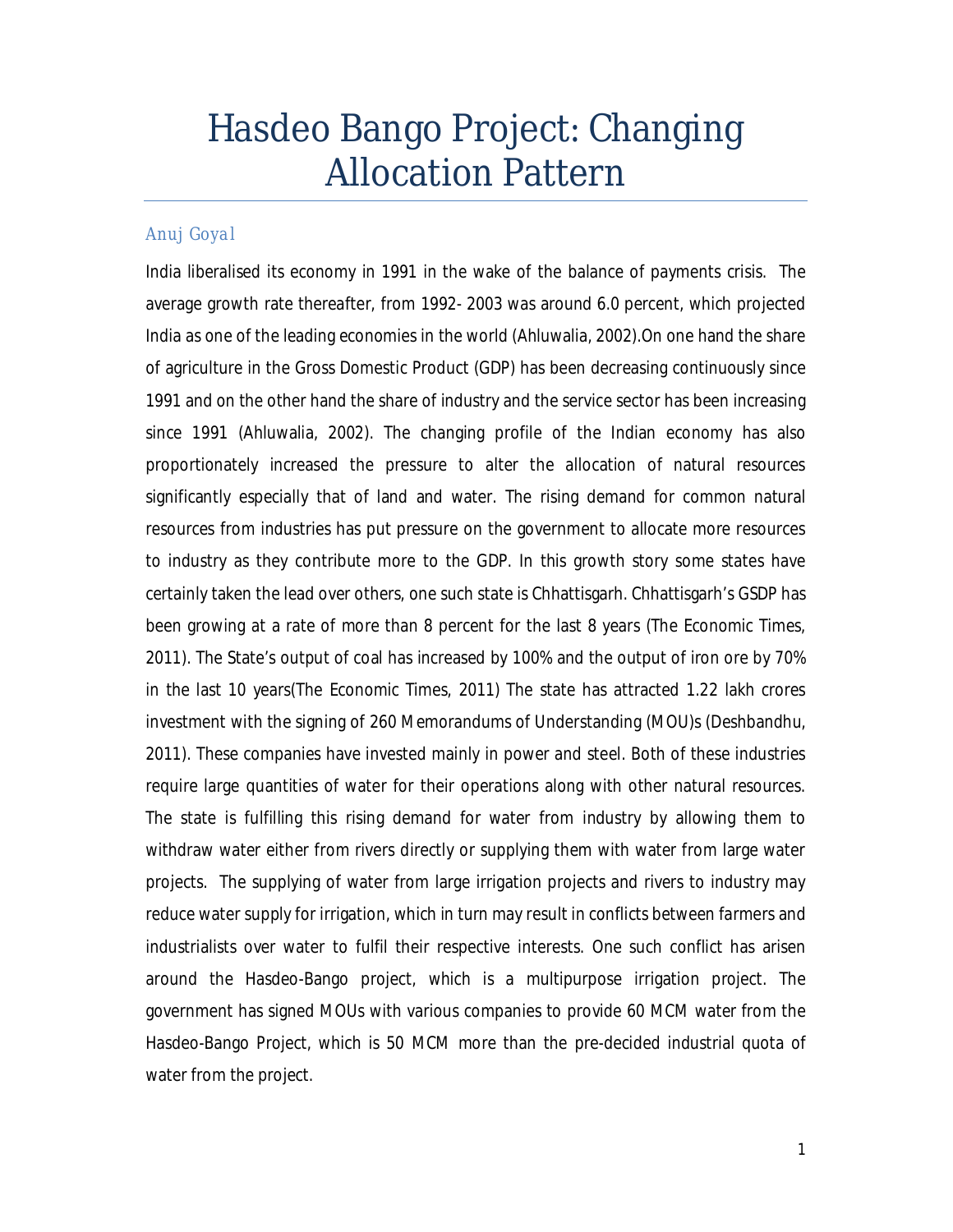# Hasdeo Bango Project: Changing Allocation Pattern

## *Anuj Goyal*

India liberalised its economy in 1991 in the wake of the balance of payments crisis. The average growth rate thereafter, from 1992- 2003 was around 6.0 percent, which projected India as one of the leading economies in the world (Ahluwalia, 2002).On one hand the share of agriculture in the Gross Domestic Product (GDP) has been decreasing continuously since 1991 and on the other hand the share of industry and the service sector has been increasing since 1991 (Ahluwalia, 2002). The changing profile of the Indian economy has also proportionately increased the pressure to alter the allocation of natural resources significantly especially that of land and water. The rising demand for common natural resources from industries has put pressure on the government to allocate more resources to industry as they contribute more to the GDP. In this growth story some states have certainly taken the lead over others, one such state is Chhattisgarh. Chhattisgarh's GSDP has been growing at a rate of more than 8 percent for the last 8 years (The Economic Times, 2011). The State's output of coal has increased by 100% and the output of iron ore by 70% in the last 10 years(The Economic Times, 2011) The state has attracted 1.22 lakh crores investment with the signing of 260 Memorandums of Understanding (MOU)s (Deshbandhu, 2011). These companies have invested mainly in power and steel. Both of these industries require large quantities of water for their operations along with other natural resources. The state is fulfilling this rising demand for water from industry by allowing them to withdraw water either from rivers directly or supplying them with water from large water projects. The supplying of water from large irrigation projects and rivers to industry may reduce water supply for irrigation, which in turn may result in conflicts between farmers and industrialists over water to fulfil their respective interests. One such conflict has arisen around the Hasdeo-Bango project, which is a multipurpose irrigation project. The government has signed MOUs with various companies to provide 60 MCM water from the Hasdeo-Bango Project, which is 50 MCM more than the pre-decided industrial quota of water from the project.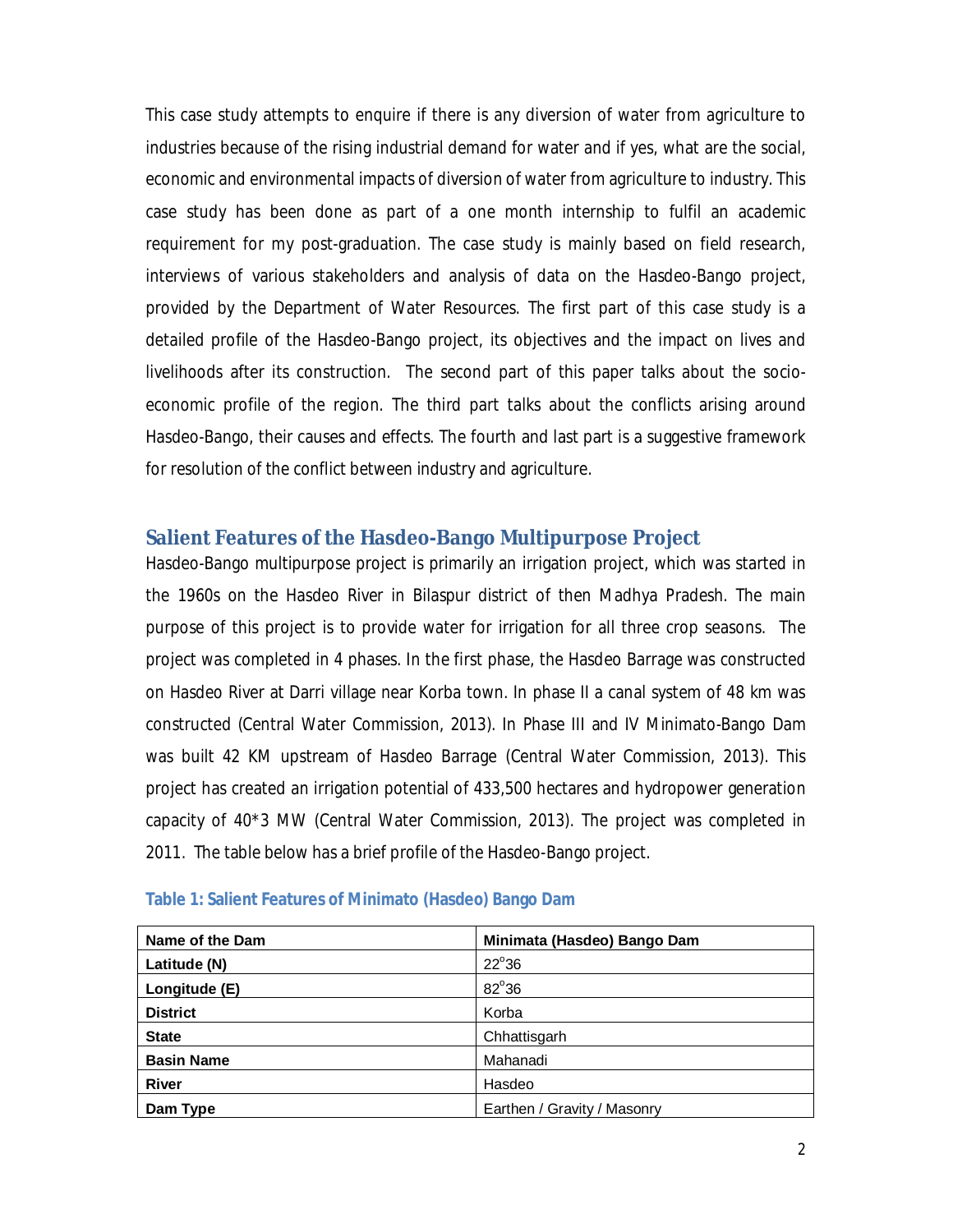This case study attempts to enquire if there is any diversion of water from agriculture to industries because of the rising industrial demand for water and if yes, what are the social, economic and environmental impacts of diversion of water from agriculture to industry. This case study has been done as part of a one month internship to fulfil an academic requirement for my post-graduation. The case study is mainly based on field research, interviews of various stakeholders and analysis of data on the Hasdeo-Bango project, provided by the Department of Water Resources. The first part of this case study is a detailed profile of the Hasdeo-Bango project, its objectives and the impact on lives and livelihoods after its construction. The second part of this paper talks about the socioeconomic profile of the region. The third part talks about the conflicts arising around Hasdeo-Bango, their causes and effects. The fourth and last part is a suggestive framework for resolution of the conflict between industry and agriculture.

## **Salient Features of the Hasdeo-Bango Multipurpose Project**

Hasdeo-Bango multipurpose project is primarily an irrigation project, which was started in the 1960s on the Hasdeo River in Bilaspur district of then Madhya Pradesh. The main purpose of this project is to provide water for irrigation for all three crop seasons. The project was completed in 4 phases. In the first phase, the Hasdeo Barrage was constructed on Hasdeo River at Darri village near Korba town. In phase II a canal system of 48 km was constructed (Central Water Commission, 2013). In Phase III and IV Minimato-Bango Dam was built 42 KM upstream of Hasdeo Barrage (Central Water Commission, 2013). This project has created an irrigation potential of 433,500 hectares and hydropower generation capacity of 40\*3 MW (Central Water Commission, 2013). The project was completed in 2011. The table below has a brief profile of the Hasdeo-Bango project.

| Name of the Dam   | Minimata (Hasdeo) Bango Dam |
|-------------------|-----------------------------|
| Latitude (N)      | $22^{\circ}36$              |
| Longitude (E)     | $82^{\circ}36$              |
| <b>District</b>   | Korba                       |
| <b>State</b>      | Chhattisgarh                |
| <b>Basin Name</b> | Mahanadi                    |
| <b>River</b>      | Hasdeo                      |
| Dam Type          | Earthen / Gravity / Masonry |

| Table 1: Salient Features of Minimato (Hasdeo) Bango Dam |  |  |  |  |  |
|----------------------------------------------------------|--|--|--|--|--|
|----------------------------------------------------------|--|--|--|--|--|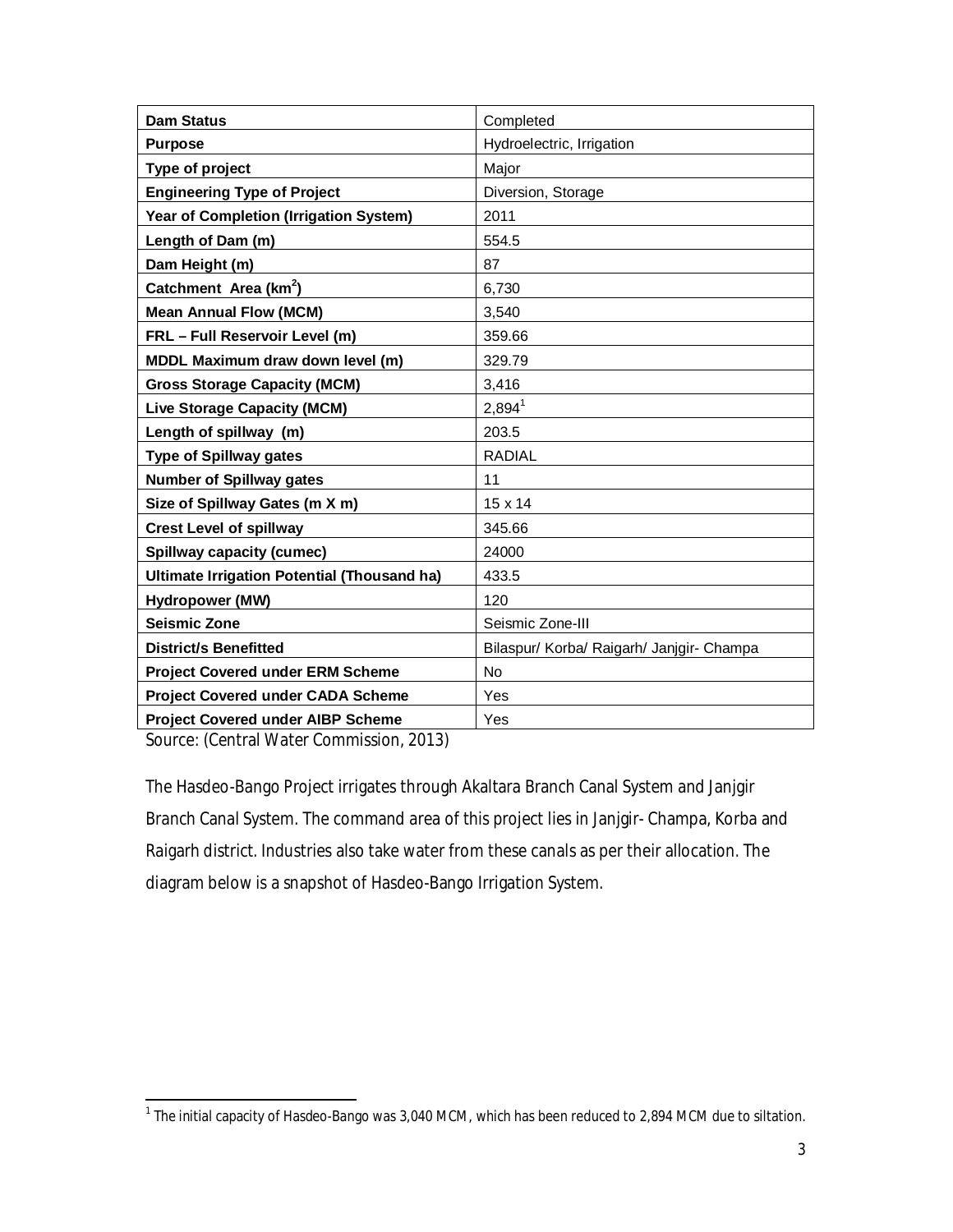| <b>Dam Status</b>                                  | Completed                                 |
|----------------------------------------------------|-------------------------------------------|
| <b>Purpose</b>                                     | Hydroelectric, Irrigation                 |
| Type of project                                    | Major                                     |
| <b>Engineering Type of Project</b>                 | Diversion, Storage                        |
| Year of Completion (Irrigation System)             | 2011                                      |
| Length of Dam (m)                                  | 554.5                                     |
| Dam Height (m)                                     | 87                                        |
| Catchment Area (km <sup>2</sup> )                  | 6,730                                     |
| <b>Mean Annual Flow (MCM)</b>                      | 3,540                                     |
| FRL - Full Reservoir Level (m)                     | 359.66                                    |
| MDDL Maximum draw down level (m)                   | 329.79                                    |
| <b>Gross Storage Capacity (MCM)</b>                | 3,416                                     |
| <b>Live Storage Capacity (MCM)</b>                 | $2,894^1$                                 |
| Length of spillway (m)                             | 203.5                                     |
| <b>Type of Spillway gates</b>                      | <b>RADIAL</b>                             |
| <b>Number of Spillway gates</b>                    | 11                                        |
| Size of Spillway Gates (m X m)                     | $15 \times 14$                            |
| <b>Crest Level of spillway</b>                     | 345.66                                    |
| <b>Spillway capacity (cumec)</b>                   | 24000                                     |
| <b>Ultimate Irrigation Potential (Thousand ha)</b> | 433.5                                     |
| Hydropower (MW)                                    | 120                                       |
| <b>Seismic Zone</b>                                | Seismic Zone-III                          |
| <b>District/s Benefitted</b>                       | Bilaspur/ Korba/ Raigarh/ Janjgir- Champa |
| <b>Project Covered under ERM Scheme</b>            | <b>No</b>                                 |
| <b>Project Covered under CADA Scheme</b>           | Yes                                       |
| <b>Project Covered under AIBP Scheme</b>           | Yes                                       |

Source: (Central Water Commission, 2013)

The Hasdeo-Bango Project irrigates through Akaltara Branch Canal System and Janjgir Branch Canal System. The command area of this project lies in Janjgir- Champa, Korba and Raigarh district. Industries also take water from these canals as per their allocation. The diagram below is a snapshot of Hasdeo-Bango Irrigation System.

 1 The initial capacity of Hasdeo-Bango was 3,040 MCM, which has been reduced to 2,894 MCM due to siltation.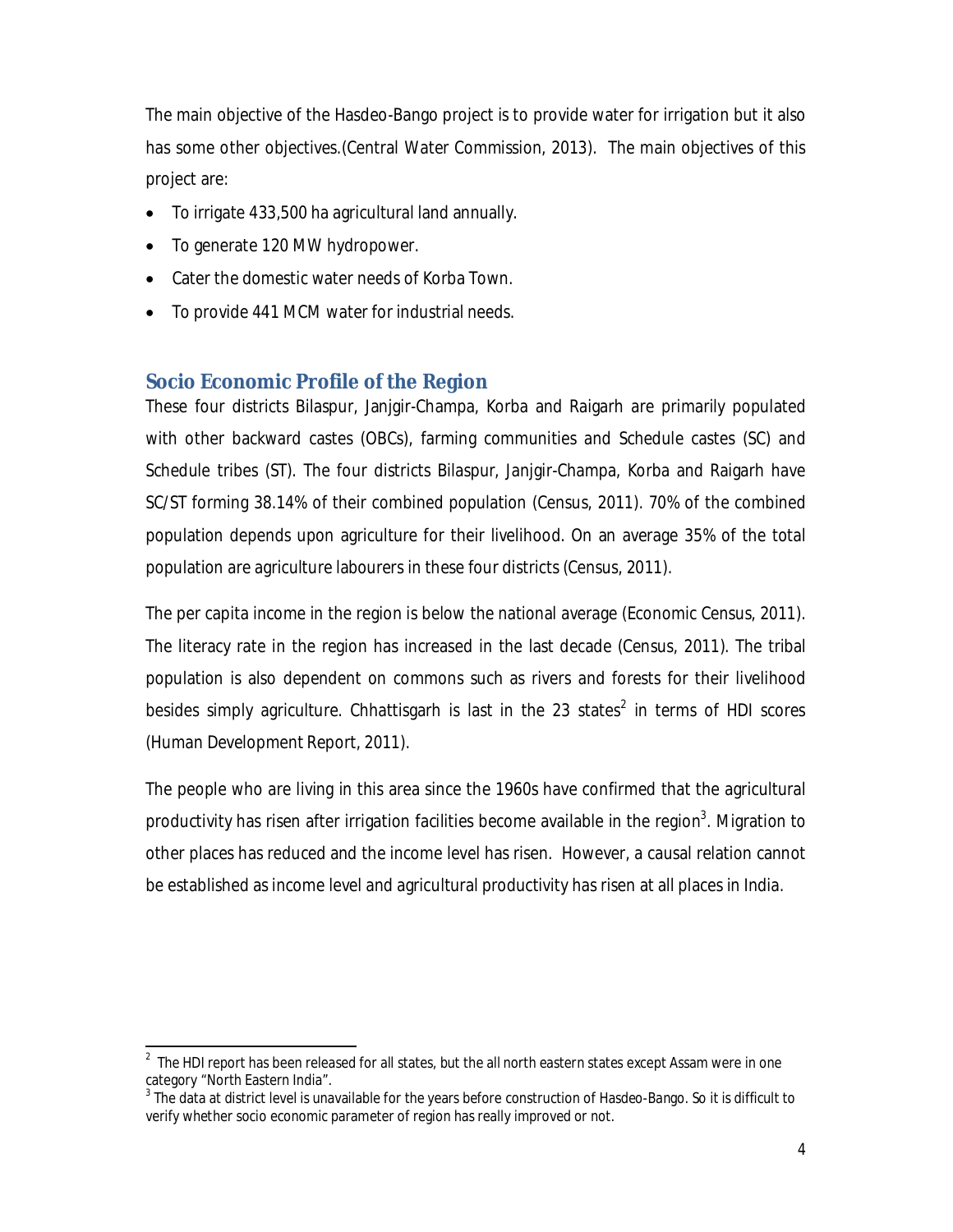The main objective of the Hasdeo-Bango project is to provide water for irrigation but it also has some other objectives.(Central Water Commission, 2013). The main objectives of this project are:

- To irrigate 433,500 ha agricultural land annually.
- To generate 120 MW hydropower.
- Cater the domestic water needs of Korba Town.
- To provide 441 MCM water for industrial needs.

# **Socio Economic Profile of the Region**

These four districts Bilaspur, Janjgir-Champa, Korba and Raigarh are primarily populated with other backward castes (OBCs), farming communities and Schedule castes (SC) and Schedule tribes (ST). The four districts Bilaspur, Janjgir-Champa, Korba and Raigarh have SC/ST forming 38.14% of their combined population (Census, 2011). 70% of the combined population depends upon agriculture for their livelihood. On an average 35% of the total population are agriculture labourers in these four districts (Census, 2011).

The per capita income in the region is below the national average (Economic Census, 2011). The literacy rate in the region has increased in the last decade (Census, 2011). The tribal population is also dependent on commons such as rivers and forests for their livelihood besides simply agriculture. Chhattisgarh is last in the 23 states<sup>2</sup> in terms of HDI scores (Human Development Report, 2011).

The people who are living in this area since the 1960s have confirmed that the agricultural productivity has risen after irrigation facilities become available in the region<sup>3</sup>. Migration to other places has reduced and the income level has risen. However, a causal relation cannot be established as income level and agricultural productivity has risen at all places in India.

 2 The HDI report has been released for all states, but the all north eastern states except Assam were in one category "North Eastern India".

 $^3$  The data at district level is unavailable for the years before construction of Hasdeo-Bango. So it is difficult to verify whether socio economic parameter of region has really improved or not.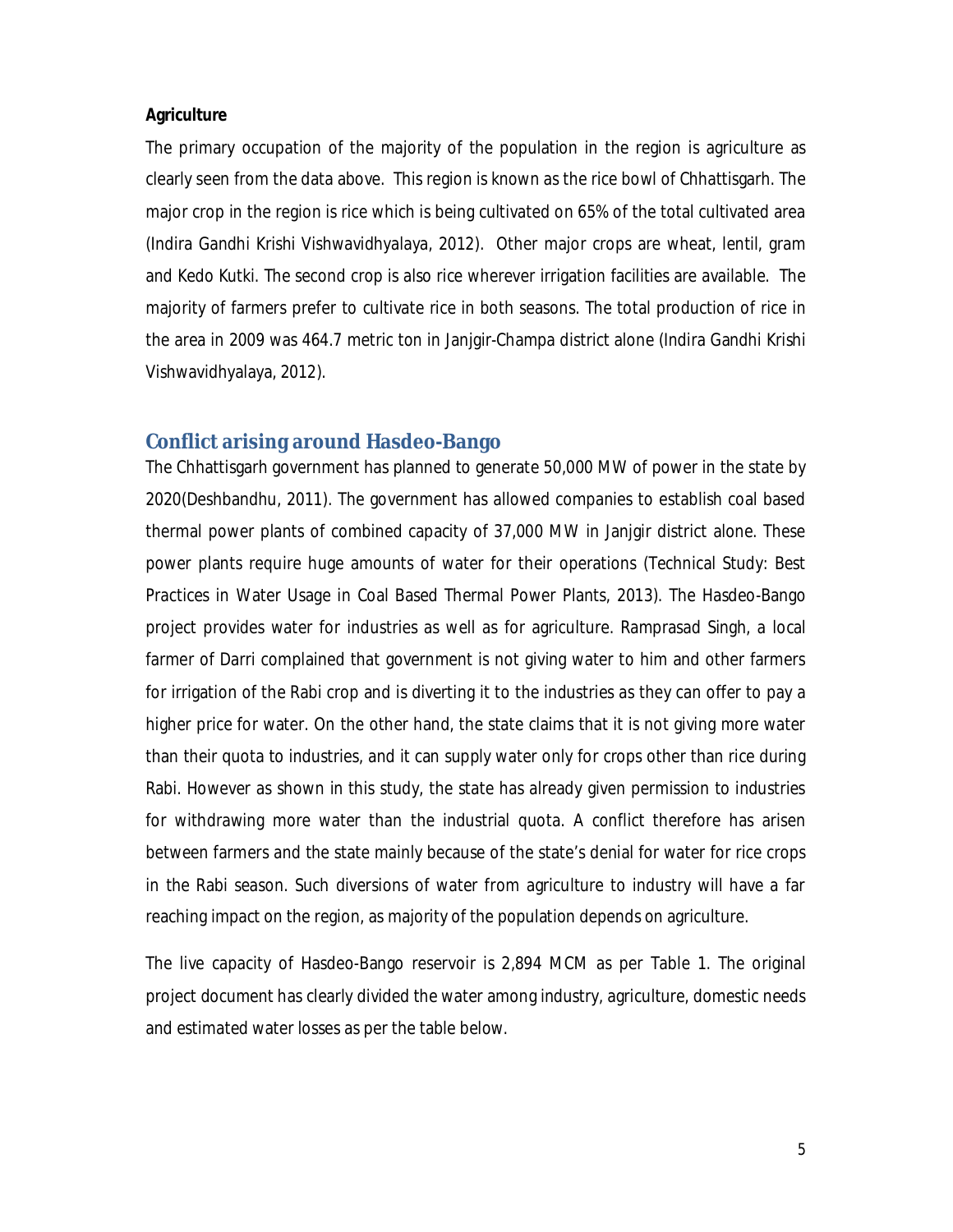#### **Agriculture**

The primary occupation of the majority of the population in the region is agriculture as clearly seen from the data above. This region is known as the rice bowl of Chhattisgarh. The major crop in the region is rice which is being cultivated on 65% of the total cultivated area (Indira Gandhi Krishi Vishwavidhyalaya, 2012). Other major crops are wheat, lentil, gram and Kedo Kutki. The second crop is also rice wherever irrigation facilities are available. The majority of farmers prefer to cultivate rice in both seasons. The total production of rice in the area in 2009 was 464.7 metric ton in Janjgir-Champa district alone (Indira Gandhi Krishi Vishwavidhyalaya, 2012).

#### **Conflict arising around Hasdeo-Bango**

The Chhattisgarh government has planned to generate 50,000 MW of power in the state by 2020(Deshbandhu, 2011). The government has allowed companies to establish coal based thermal power plants of combined capacity of 37,000 MW in Janjgir district alone. These power plants require huge amounts of water for their operations (Technical Study: Best Practices in Water Usage in Coal Based Thermal Power Plants, 2013). The Hasdeo-Bango project provides water for industries as well as for agriculture. Ramprasad Singh, a local farmer of Darri complained that government is not giving water to him and other farmers for irrigation of the Rabi crop and is diverting it to the industries as they can offer to pay a higher price for water. On the other hand, the state claims that it is not giving more water than their quota to industries, and it can supply water only for crops other than rice during Rabi. However as shown in this study, the state has already given permission to industries for withdrawing more water than the industrial quota. A conflict therefore has arisen between farmers and the state mainly because of the state's denial for water for rice crops in the Rabi season. Such diversions of water from agriculture to industry will have a far reaching impact on the region, as majority of the population depends on agriculture.

The live capacity of Hasdeo-Bango reservoir is 2,894 MCM as per Table 1. The original project document has clearly divided the water among industry, agriculture, domestic needs and estimated water losses as per the table below.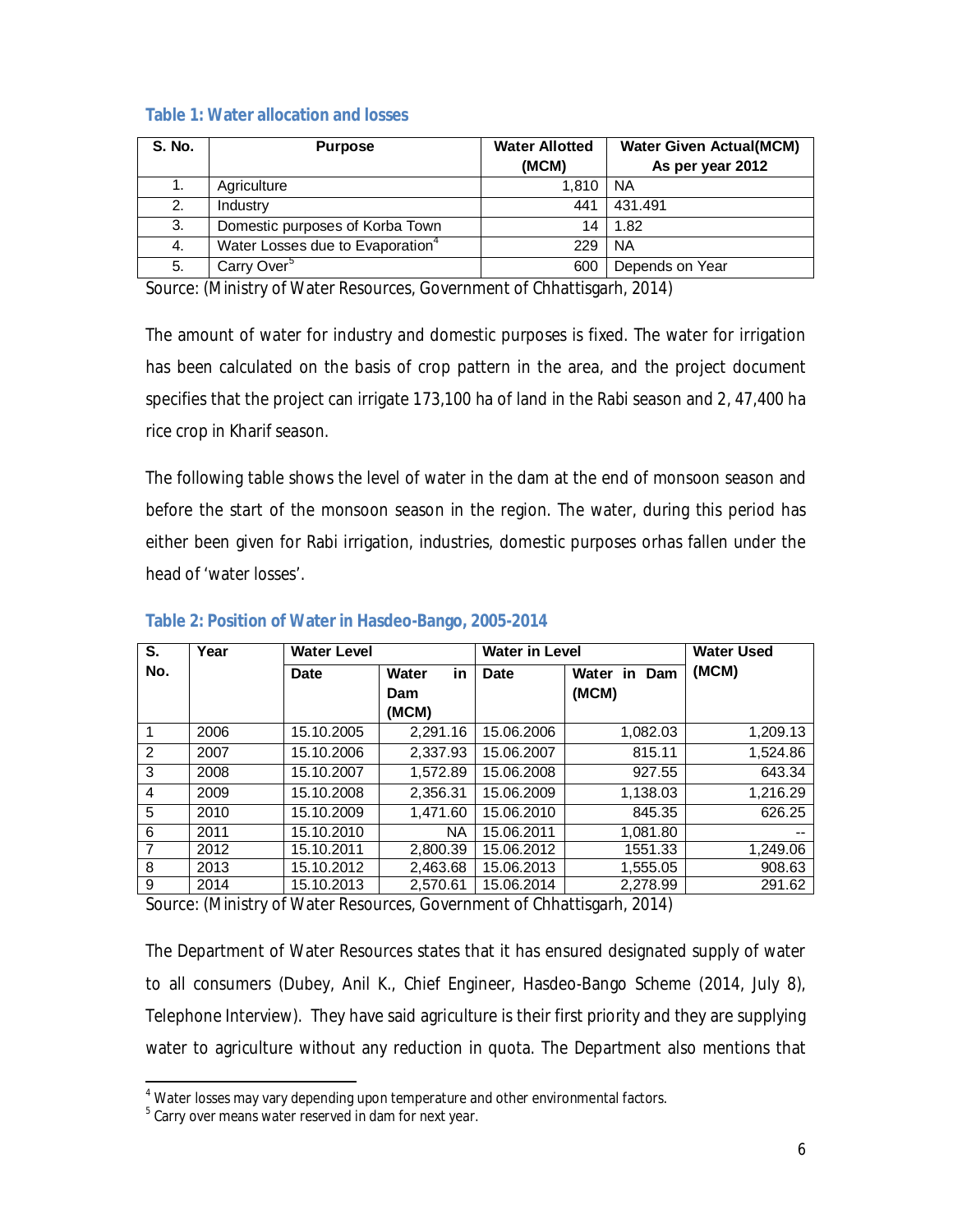## **Table 1: Water allocation and losses**

| <b>S. No.</b> | <b>Purpose</b>                               | <b>Water Allotted</b><br>(MCM) | <b>Water Given Actual(MCM)</b><br>As per year 2012 |
|---------------|----------------------------------------------|--------------------------------|----------------------------------------------------|
| 1.            | Agriculture                                  | 1.810                          | <b>NA</b>                                          |
| 2.            | Industry                                     | 441                            | 431.491                                            |
| 3.            | Domestic purposes of Korba Town              | 14                             | 1.82                                               |
| 4.            | Water Losses due to Evaporation <sup>4</sup> | 229                            | <b>NA</b>                                          |
| 5.            | Carry Over <sup>5</sup>                      | 600                            | Depends on Year                                    |

Source: (Ministry of Water Resources, Government of Chhattisgarh, 2014)

The amount of water for industry and domestic purposes is fixed. The water for irrigation has been calculated on the basis of crop pattern in the area, and the project document specifies that the project can irrigate 173,100 ha of land in the Rabi season and 2, 47,400 ha rice crop in Kharif season.

The following table shows the level of water in the dam at the end of monsoon season and before the start of the monsoon season in the region. The water, during this period has either been given for Rabi irrigation, industries, domestic purposes orhas fallen under the head of 'water losses'.

| S.             | Year | <b>Water Level</b> |             | <b>Water in Level</b> |                    | Water Used |
|----------------|------|--------------------|-------------|-----------------------|--------------------|------------|
| No.            |      | <b>Date</b>        | in<br>Water | Date                  | Water<br>in<br>Dam | (MCM)      |
|                |      |                    | Dam         |                       | (MCM)              |            |
|                |      |                    | (MCM)       |                       |                    |            |
| $\mathbf 1$    | 2006 | 15.10.2005         | 2.291.16    | 15.06.2006            | 1,082.03           | 1,209.13   |
| $\overline{2}$ | 2007 | 15.10.2006         | 2.337.93    | 15.06.2007            | 815.11             | 1,524.86   |
| 3              | 2008 | 15.10.2007         | 1,572.89    | 15.06.2008            | 927.55             | 643.34     |
| 4              | 2009 | 15.10.2008         | 2,356.31    | 15.06.2009            | 1,138.03           | 1,216.29   |
| 5              | 2010 | 15.10.2009         | 1.471.60    | 15.06.2010            | 845.35             | 626.25     |
| 6              | 2011 | 15.10.2010         | <b>NA</b>   | 15.06.2011            | 1.081.80           | --         |
| $\overline{7}$ | 2012 | 15.10.2011         | 2.800.39    | 15.06.2012            | 1551.33            | 1,249.06   |
| 8              | 2013 | 15.10.2012         | 2.463.68    | 15.06.2013            | 1.555.05           | 908.63     |
| 9              | 2014 | 15.10.2013         | 2,570.61    | 15.06.2014            | 2.278.99           | 291.62     |

## **Table 2: Position of Water in Hasdeo-Bango, 2005-2014**

Source: (Ministry of Water Resources, Government of Chhattisgarh, 2014)

The Department of Water Resources states that it has ensured designated supply of water to all consumers (Dubey, Anil K., Chief Engineer, Hasdeo-Bango Scheme (2014, July 8), Telephone Interview). They have said agriculture is their first priority and they are supplying water to agriculture without any reduction in quota. The Department also mentions that

<sup>1</sup> <sup>4</sup> Water losses may vary depending upon temperature and other environmental factors.

 $5$  Carry over means water reserved in dam for next year.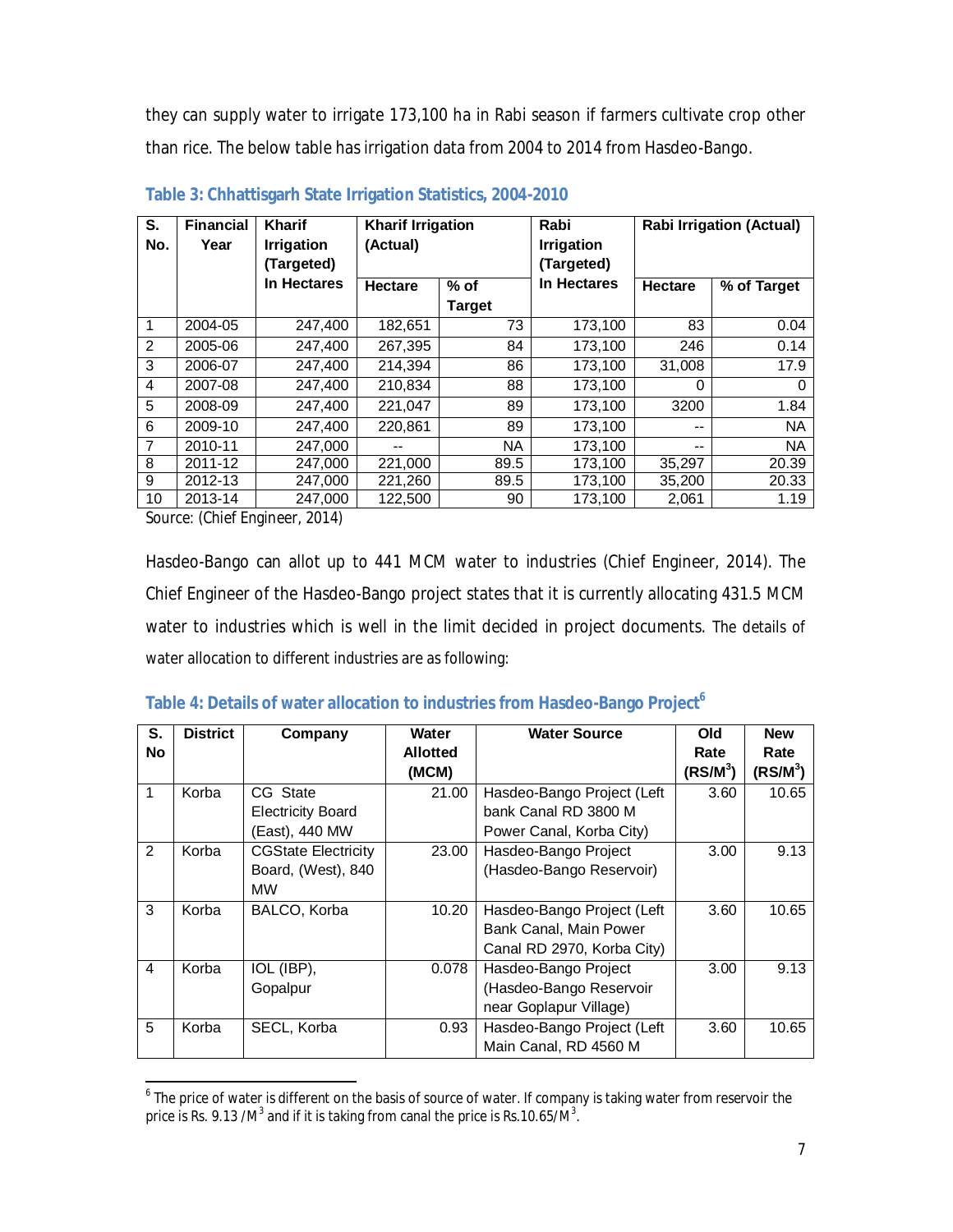they can supply water to irrigate 173,100 ha in Rabi season if farmers cultivate crop other than rice. The below table has irrigation data from 2004 to 2014 from Hasdeo-Bango.

| S.<br>No.      | <b>Financial</b><br>Year | <b>Kharif</b><br><b>Irrigation</b><br>(Targeted) | <b>Kharif Irrigation</b><br>(Actual) |               | Rabi<br><b>Irrigation</b><br>(Targeted) |                | <b>Rabi Irrigation (Actual)</b> |
|----------------|--------------------------|--------------------------------------------------|--------------------------------------|---------------|-----------------------------------------|----------------|---------------------------------|
|                |                          | In Hectares                                      | <b>Hectare</b>                       | $%$ of        | In Hectares                             | <b>Hectare</b> | % of Target                     |
|                |                          |                                                  |                                      | <b>Target</b> |                                         |                |                                 |
| 1              | 2004-05                  | 247,400                                          | 182,651                              | 73            | 173,100                                 | 83             | 0.04                            |
| 2              | 2005-06                  | 247,400                                          | 267,395                              | 84            | 173,100                                 | 246            | 0.14                            |
| 3              | 2006-07                  | 247,400                                          | 214,394                              | 86            | 173,100                                 | 31,008         | 17.9                            |
| 4              | 2007-08                  | 247,400                                          | 210.834                              | 88            | 173,100                                 | 0              | 0                               |
| 5              | 2008-09                  | 247,400                                          | 221,047                              | 89            | 173,100                                 | 3200           | 1.84                            |
| 6              | 2009-10                  | 247,400                                          | 220,861                              | 89            | 173,100                                 | --             | <b>NA</b>                       |
| $\overline{7}$ | 2010-11                  | 247.000                                          |                                      | <b>NA</b>     | 173.100                                 | $- -$          | <b>NA</b>                       |
| 8              | 2011-12                  | 247.000                                          | 221.000                              | 89.5          | 173,100                                 | 35,297         | 20.39                           |
| 9              | 2012-13                  | 247,000                                          | 221,260                              | 89.5          | 173,100                                 | 35,200         | 20.33                           |
| 10             | 2013-14                  | 247,000                                          | 122,500                              | 90            | 173,100                                 | 2,061          | 1.19                            |

**Table 3: Chhattisgarh State Irrigation Statistics, 2004-2010**

Source: (Chief Engineer, 2014)

1

Hasdeo-Bango can allot up to 441 MCM water to industries (Chief Engineer, 2014). The Chief Engineer of the Hasdeo-Bango project states that it is currently allocating 431.5 MCM water to industries which is well in the limit decided in project documents. The details of water allocation to different industries are as following:

| S.             | <b>District</b> | Company                    | Water           | <b>Water Source</b>        | Old          | <b>New</b> |
|----------------|-----------------|----------------------------|-----------------|----------------------------|--------------|------------|
| <b>No</b>      |                 |                            | <b>Allotted</b> |                            | Rate         | Rate       |
|                |                 |                            | (MCM)           |                            | (RS/M $^3$ ) | $(RS/M^3)$ |
| 1              | Korba           | CG State                   | 21.00           | Hasdeo-Bango Project (Left | 3.60         | 10.65      |
|                |                 | <b>Electricity Board</b>   |                 | bank Canal RD 3800 M       |              |            |
|                |                 | (East), 440 MW             |                 | Power Canal, Korba City)   |              |            |
| $\mathfrak{p}$ | Korba           | <b>CGState Electricity</b> | 23.00           | Hasdeo-Bango Project       | 3.00         | 9.13       |
|                |                 | Board, (West), 840         |                 | (Hasdeo-Bango Reservoir)   |              |            |
|                |                 | <b>MW</b>                  |                 |                            |              |            |
| 3              | Korba           | BALCO, Korba               | 10.20           | Hasdeo-Bango Project (Left | 3.60         | 10.65      |
|                |                 |                            |                 | Bank Canal, Main Power     |              |            |
|                |                 |                            |                 | Canal RD 2970, Korba City) |              |            |
| 4              | Korba           | IOL (IBP),                 | 0.078           | Hasdeo-Bango Project       | 3.00         | 9.13       |
|                |                 | Gopalpur                   |                 | (Hasdeo-Bango Reservoir    |              |            |
|                |                 |                            |                 | near Goplapur Village)     |              |            |
| 5              | Korba           | SECL, Korba                | 0.93            | Hasdeo-Bango Project (Left | 3.60         | 10.65      |
|                |                 |                            |                 | Main Canal, RD 4560 M      |              |            |

## **Table 4: Details of water allocation to industries from Hasdeo-Bango Project<sup>6</sup>**

<sup>&</sup>lt;sup>6</sup> The price of water is different on the basis of source of water. If company is taking water from reservoir the price is Rs. 9.13 /M $^3$  and if it is taking from canal the price is Rs.10.65/M $^3$ .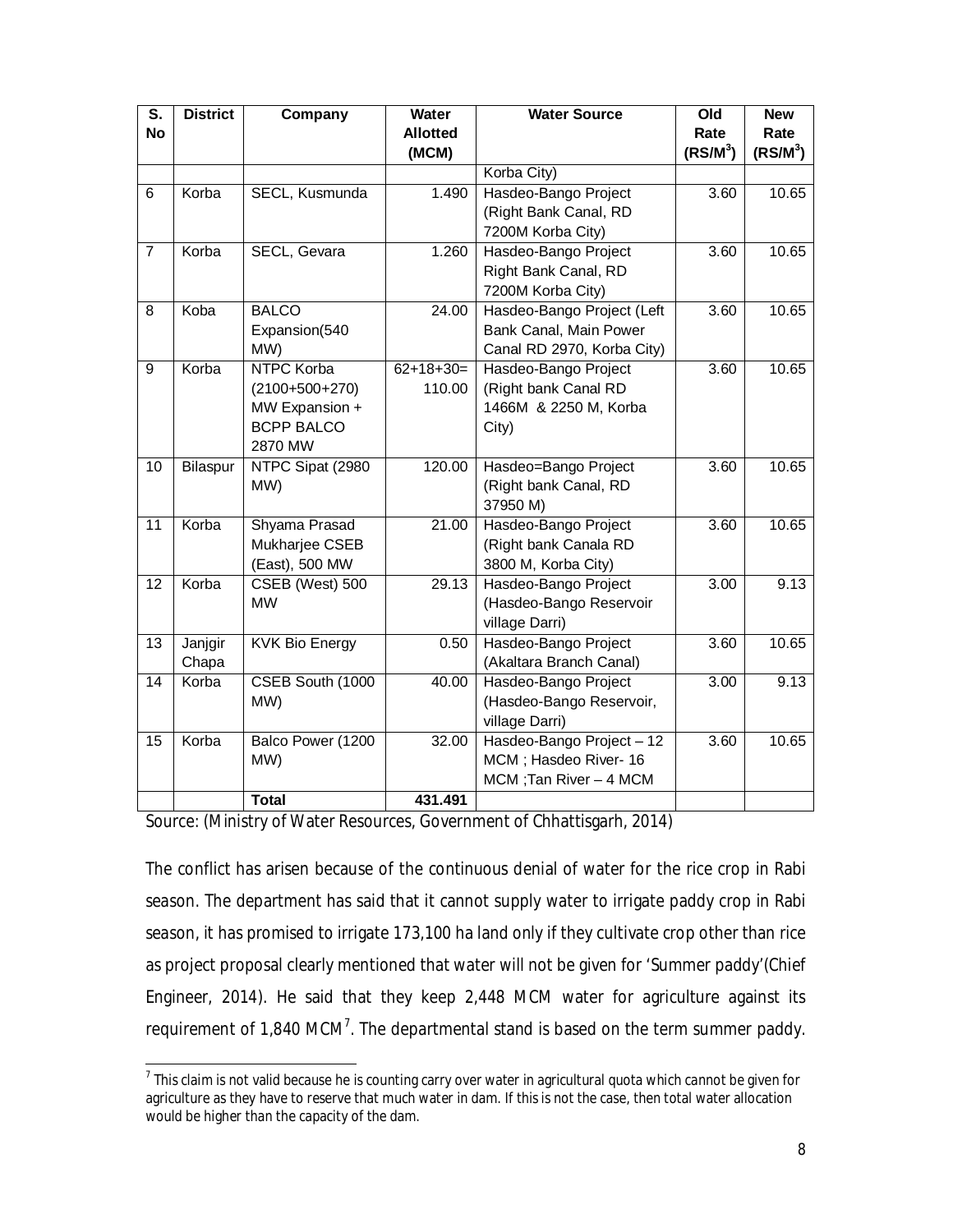| $\overline{\mathsf{s}}$ . | <b>District</b> | Company               | Water           | <b>Water Source</b>                             | Old               | <b>New</b>          |
|---------------------------|-----------------|-----------------------|-----------------|-------------------------------------------------|-------------------|---------------------|
| <b>No</b>                 |                 |                       | <b>Allotted</b> |                                                 | Rate              | Rate                |
|                           |                 |                       | (MCM)           |                                                 | $(RS/M^3)$        | (RSM <sup>3</sup> ) |
|                           |                 |                       |                 | Korba City)                                     |                   |                     |
| 6                         | Korba           | SECL, Kusmunda        | 1.490           | Hasdeo-Bango Project                            | 3.60              | 10.65               |
|                           |                 |                       |                 | (Right Bank Canal, RD                           |                   |                     |
|                           |                 |                       |                 | 7200M Korba City)                               |                   |                     |
| $\overline{7}$            | Korba           | SECL, Gevara          | 1.260           | Hasdeo-Bango Project                            | 3.60              | 10.65               |
|                           |                 |                       |                 | Right Bank Canal, RD                            |                   |                     |
|                           |                 |                       |                 | 7200M Korba City)                               |                   |                     |
| 8                         | Koba            | <b>BALCO</b>          | 24.00           | Hasdeo-Bango Project (Left                      | 3.60              | 10.65               |
|                           |                 | Expansion(540         |                 | Bank Canal, Main Power                          |                   |                     |
|                           |                 | MW)                   |                 | Canal RD 2970, Korba City)                      |                   |                     |
| 9                         | Korba           | NTPC Korba            | $62+18+30=$     | Hasdeo-Bango Project                            | 3.60              | 10.65               |
|                           |                 | $(2100+500+270)$      | 110.00          | (Right bank Canal RD                            |                   |                     |
|                           |                 | MW Expansion +        |                 | 1466M & 2250 M, Korba                           |                   |                     |
|                           |                 | <b>BCPP BALCO</b>     |                 | City)                                           |                   |                     |
|                           |                 | 2870 MW               |                 |                                                 |                   |                     |
| 10                        | Bilaspur        | NTPC Sipat (2980)     | 120.00          | Hasdeo=Bango Project                            | 3.60              | 10.65               |
|                           |                 | MW)                   |                 | (Right bank Canal, RD                           |                   |                     |
|                           |                 |                       |                 | 37950 M)                                        |                   |                     |
| $\overline{11}$           | Korba           | Shyama Prasad         | 21.00           | Hasdeo-Bango Project                            | $\overline{3.60}$ | 10.65               |
|                           |                 | Mukharjee CSEB        |                 | (Right bank Canala RD                           |                   |                     |
|                           |                 | (East), 500 MW        |                 | 3800 M, Korba City)                             |                   |                     |
| $\overline{12}$           | Korba           | CSEB (West) 500       | 29.13           | Hasdeo-Bango Project                            | 3.00              | 9.13                |
|                           |                 | <b>MW</b>             |                 | (Hasdeo-Bango Reservoir                         |                   |                     |
|                           |                 |                       |                 | village Darri)                                  |                   |                     |
| 13                        | Janjgir         | <b>KVK Bio Energy</b> | 0.50            | Hasdeo-Bango Project                            | 3.60              | 10.65               |
|                           | Chapa           |                       |                 | (Akaltara Branch Canal)                         |                   |                     |
| $\overline{14}$           | Korba           | CSEB South (1000      | 40.00           | Hasdeo-Bango Project                            | $\overline{3.00}$ | 9.13                |
|                           |                 | MW)                   |                 | (Hasdeo-Bango Reservoir,                        |                   |                     |
|                           |                 |                       |                 | village Darri)                                  |                   |                     |
| $\overline{15}$           | Korba           | Balco Power (1200     | 32.00           | Hasdeo-Bango Project - 12                       | 3.60              | 10.65               |
|                           |                 | MW)                   |                 | MCM; Hasdeo River- 16<br>MCM; Tan River - 4 MCM |                   |                     |
|                           |                 | <b>Total</b>          | 431.491         |                                                 |                   |                     |
|                           |                 |                       |                 |                                                 |                   |                     |

Source: (Ministry of Water Resources, Government of Chhattisgarh, 2014)

The conflict has arisen because of the continuous denial of water for the rice crop in Rabi season. The department has said that it cannot supply water to irrigate paddy crop in Rabi season, it has promised to irrigate 173,100 ha land only if they cultivate crop other than rice as project proposal clearly mentioned that water will not be given for 'Summer paddy'(Chief Engineer, 2014). He said that they keep 2,448 MCM water for agriculture against its requirement of 1,840 MCM<sup>7</sup>. The departmental stand is based on the term summer paddy.

 7 This claim is not valid because he is counting carry over water in agricultural quota which cannot be given for agriculture as they have to reserve that much water in dam. If this is not the case, then total water allocation would be higher than the capacity of the dam.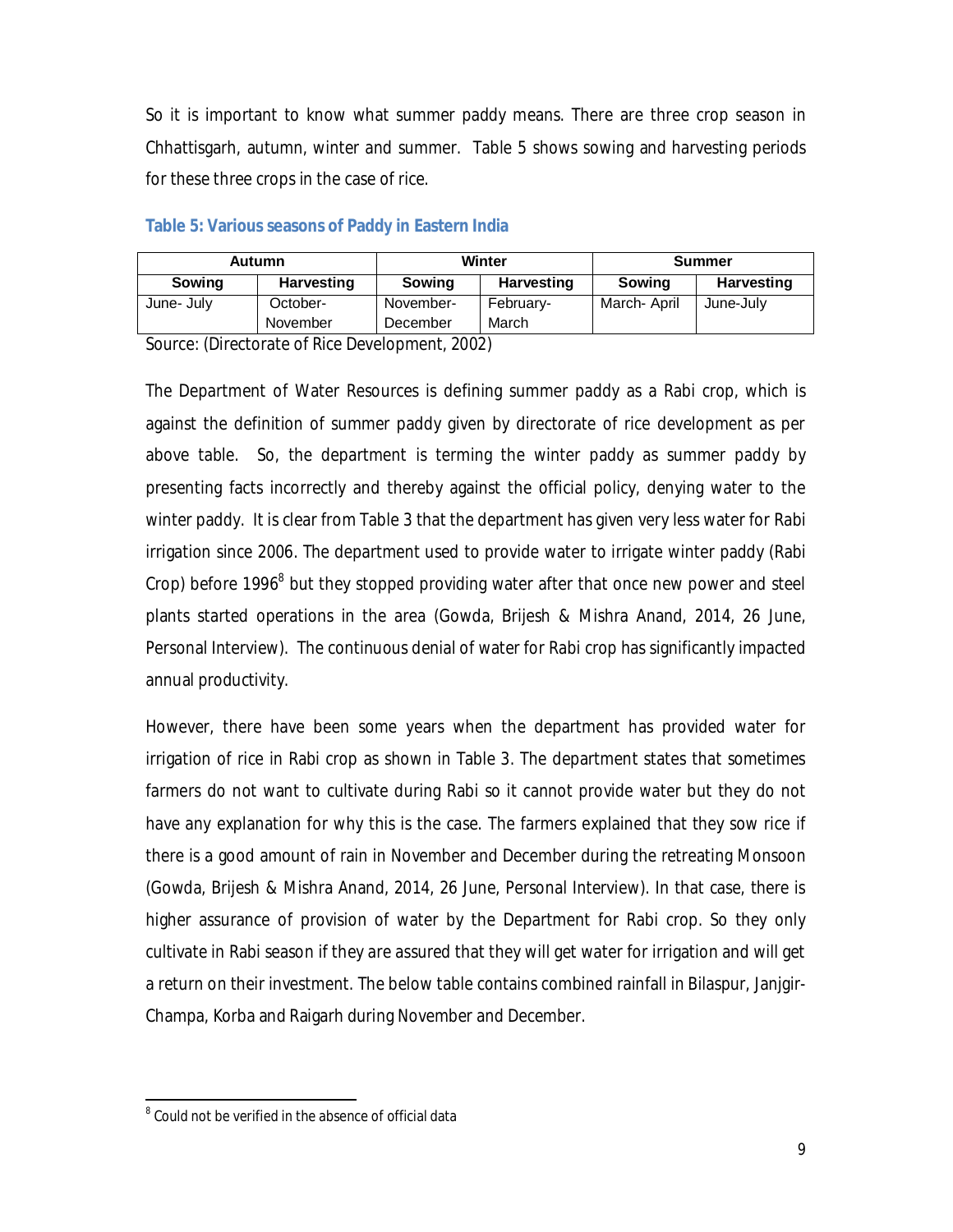So it is important to know what summer paddy means. There are three crop season in Chhattisgarh, autumn, winter and summer. Table 5 shows sowing and harvesting periods for these three crops in the case of rice.

| Autumn     |                   | Winter        |                   | Summer      |            |
|------------|-------------------|---------------|-------------------|-------------|------------|
| Sowing     | <b>Harvesting</b> | <b>Sowing</b> | <b>Harvesting</b> | Sowing      | Harvesting |
| June- July | October-          | November-     | Februarv-         | March-April | June-July  |
|            | November          | December      | March             |             |            |

#### **Table 5: Various seasons of Paddy in Eastern India**

Source: (Directorate of Rice Development, 2002)

The Department of Water Resources is defining summer paddy as a Rabi crop, which is against the definition of summer paddy given by directorate of rice development as per above table. So, the department is terming the winter paddy as summer paddy by presenting facts incorrectly and thereby against the official policy, denying water to the winter paddy. It is clear from Table 3 that the department has given very less water for Rabi irrigation since 2006. The department used to provide water to irrigate winter paddy (Rabi Crop) before 1996<sup>8</sup> but they stopped providing water after that once new power and steel plants started operations in the area (Gowda, Brijesh & Mishra Anand, 2014, 26 June, Personal Interview). The continuous denial of water for Rabi crop has significantly impacted annual productivity.

However, there have been some years when the department has provided water for irrigation of rice in Rabi crop as shown in Table 3. The department states that sometimes farmers do not want to cultivate during Rabi so it cannot provide water but they do not have any explanation for why this is the case. The farmers explained that they sow rice if there is a good amount of rain in November and December during the retreating Monsoon (Gowda, Brijesh & Mishra Anand, 2014, 26 June, Personal Interview). In that case, there is higher assurance of provision of water by the Department for Rabi crop. So they only cultivate in Rabi season if they are assured that they will get water for irrigation and will get a return on their investment. The below table contains combined rainfall in Bilaspur, Janjgir-Champa, Korba and Raigarh during November and December.

<sup>1</sup>  $8$  Could not be verified in the absence of official data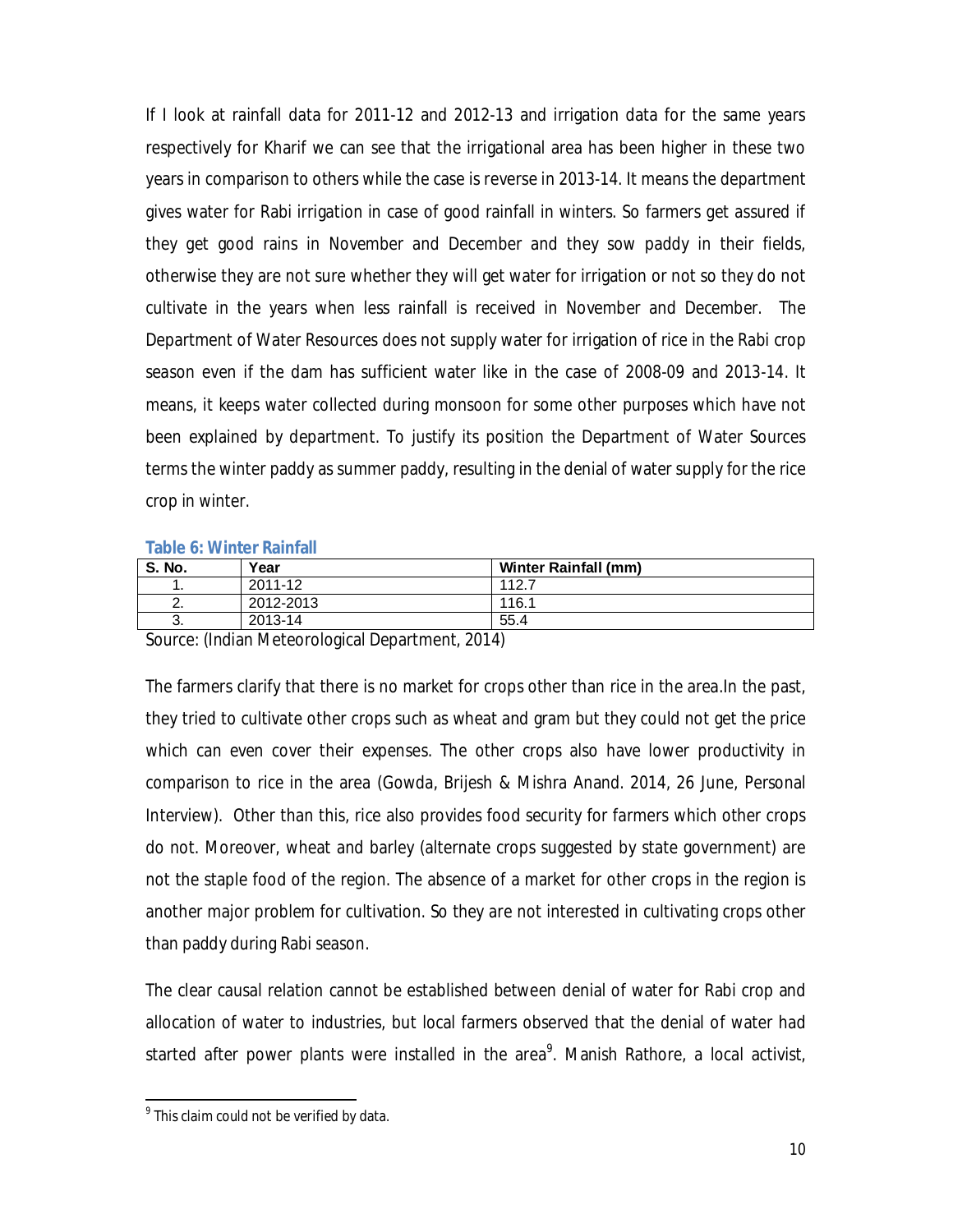If I look at rainfall data for 2011-12 and 2012-13 and irrigation data for the same years respectively for Kharif we can see that the irrigational area has been higher in these two years in comparison to others while the case is reverse in 2013-14. It means the department gives water for Rabi irrigation in case of good rainfall in winters. So farmers get assured if they get good rains in November and December and they sow paddy in their fields, otherwise they are not sure whether they will get water for irrigation or not so they do not cultivate in the years when less rainfall is received in November and December. The Department of Water Resources does not supply water for irrigation of rice in the Rabi crop season even if the dam has sufficient water like in the case of 2008-09 and 2013-14. It means, it keeps water collected during monsoon for some other purposes which have not been explained by department. To justify its position the Department of Water Sources terms the winter paddy as summer paddy, resulting in the denial of water supply for the rice crop in winter.

| <b>S. No.</b> | Year                                                                                                                                                                                                                                                                                                                                        | <b>Winter Rainfall (mm)</b> |  |  |
|---------------|---------------------------------------------------------------------------------------------------------------------------------------------------------------------------------------------------------------------------------------------------------------------------------------------------------------------------------------------|-----------------------------|--|--|
|               | 2011-12                                                                                                                                                                                                                                                                                                                                     | 112.7                       |  |  |
| <u>.</u>      | 2012-2013                                                                                                                                                                                                                                                                                                                                   | 116.1                       |  |  |
| J.            | 2013-14                                                                                                                                                                                                                                                                                                                                     | 55.4                        |  |  |
|               | $\circ$ $\qquad$ $\qquad$ $\qquad$ $\qquad$ $\qquad$ $\qquad$ $\qquad$ $\qquad$ $\qquad$ $\qquad$ $\qquad$ $\qquad$ $\qquad$ $\qquad$ $\qquad$ $\qquad$ $\qquad$ $\qquad$ $\qquad$ $\qquad$ $\qquad$ $\qquad$ $\qquad$ $\qquad$ $\qquad$ $\qquad$ $\qquad$ $\qquad$ $\qquad$ $\qquad$ $\qquad$ $\qquad$ $\qquad$ $\qquad$ $\qquad$ $\qquad$ |                             |  |  |

Source: (Indian Meteorological Department, 2014)

The farmers clarify that there is no market for crops other than rice in the area.In the past, they tried to cultivate other crops such as wheat and gram but they could not get the price which can even cover their expenses. The other crops also have lower productivity in comparison to rice in the area (Gowda, Brijesh & Mishra Anand. 2014, 26 June, Personal Interview). Other than this, rice also provides food security for farmers which other crops do not. Moreover, wheat and barley (alternate crops suggested by state government) are not the staple food of the region. The absence of a market for other crops in the region is another major problem for cultivation. So they are not interested in cultivating crops other than paddy during Rabi season.

The clear causal relation cannot be established between denial of water for Rabi crop and allocation of water to industries, but local farmers observed that the denial of water had started after power plants were installed in the area<sup>9</sup>. Manish Rathore, a local activist,

1

 $^{9}$  This claim could not be verified by data.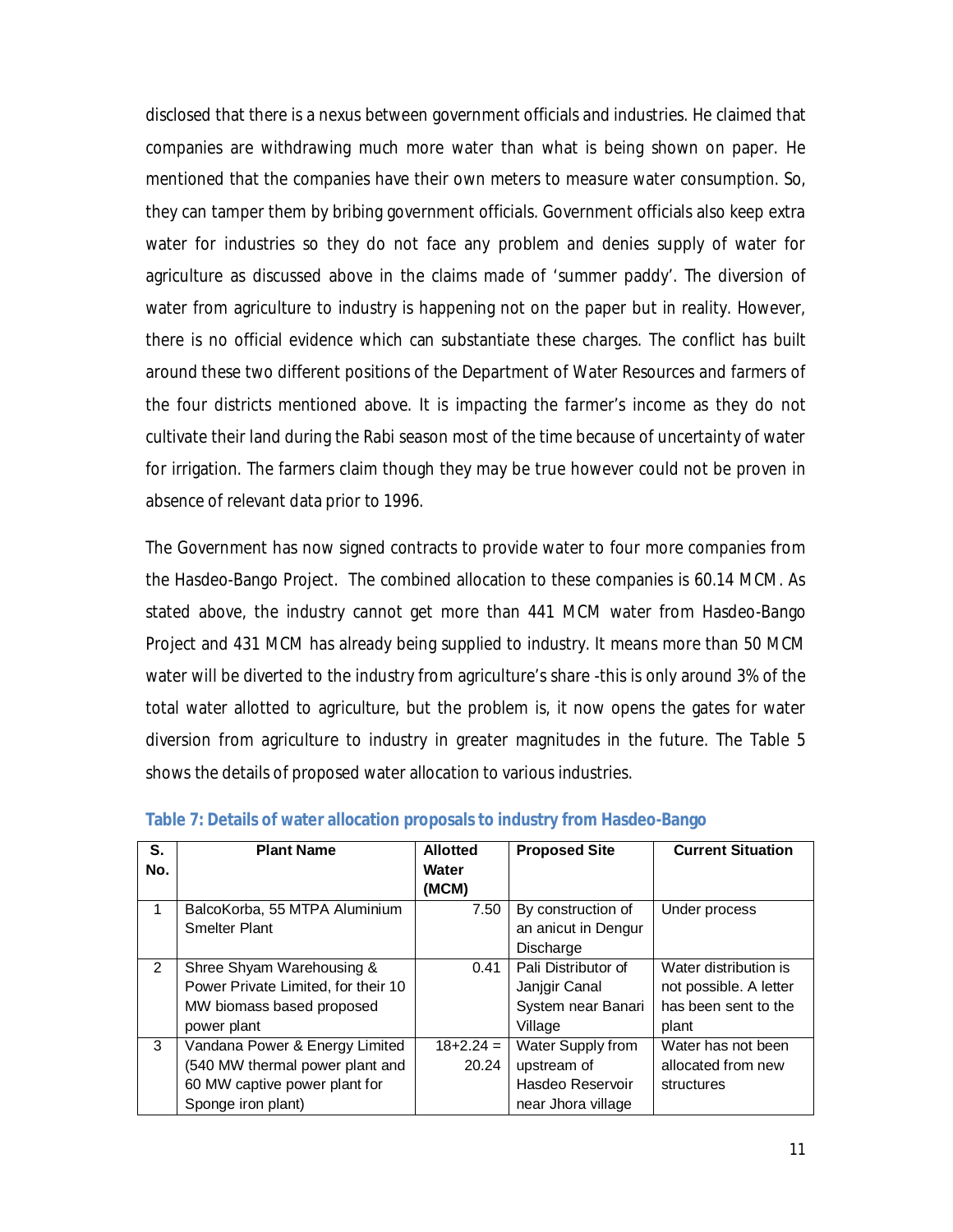disclosed that there is a nexus between government officials and industries. He claimed that companies are withdrawing much more water than what is being shown on paper. He mentioned that the companies have their own meters to measure water consumption. So, they can tamper them by bribing government officials. Government officials also keep extra water for industries so they do not face any problem and denies supply of water for agriculture as discussed above in the claims made of 'summer paddy'. The diversion of water from agriculture to industry is happening not on the paper but in reality. However, there is no official evidence which can substantiate these charges. The conflict has built around these two different positions of the Department of Water Resources and farmers of the four districts mentioned above. It is impacting the farmer's income as they do not cultivate their land during the Rabi season most of the time because of uncertainty of water for irrigation. The farmers claim though they may be true however could not be proven in absence of relevant data prior to 1996.

The Government has now signed contracts to provide water to four more companies from the Hasdeo-Bango Project. The combined allocation to these companies is 60.14 MCM. As stated above, the industry cannot get more than 441 MCM water from Hasdeo-Bango Project and 431 MCM has already being supplied to industry. It means more than 50 MCM water will be diverted to the industry from agriculture's share -this is only around 3% of the total water allotted to agriculture, but the problem is, it now opens the gates for water diversion from agriculture to industry in greater magnitudes in the future. The Table 5 shows the details of proposed water allocation to various industries.

| S.<br>No.      | <b>Plant Name</b>                                                                                                        | <b>Allotted</b><br>Water<br>(MCM) | <b>Proposed Site</b>                                                       | <b>Current Situation</b>                                                         |
|----------------|--------------------------------------------------------------------------------------------------------------------------|-----------------------------------|----------------------------------------------------------------------------|----------------------------------------------------------------------------------|
|                | BalcoKorba, 55 MTPA Aluminium<br><b>Smelter Plant</b>                                                                    | 7.50                              | By construction of<br>an anicut in Dengur<br>Discharge                     | Under process                                                                    |
| $\mathfrak{p}$ | Shree Shyam Warehousing &<br>Power Private Limited, for their 10<br>MW biomass based proposed<br>power plant             | 0.41                              | Pali Distributor of<br>Janjgir Canal<br>System near Banari<br>Village      | Water distribution is<br>not possible. A letter<br>has been sent to the<br>plant |
| 3              | Vandana Power & Energy Limited<br>(540 MW thermal power plant and<br>60 MW captive power plant for<br>Sponge iron plant) | $18 + 2.24 =$<br>20.24            | Water Supply from<br>upstream of<br>Hasdeo Reservoir<br>near Jhora village | Water has not been<br>allocated from new<br>structures                           |

#### **Table 7: Details of water allocation proposals to industry from Hasdeo-Bango**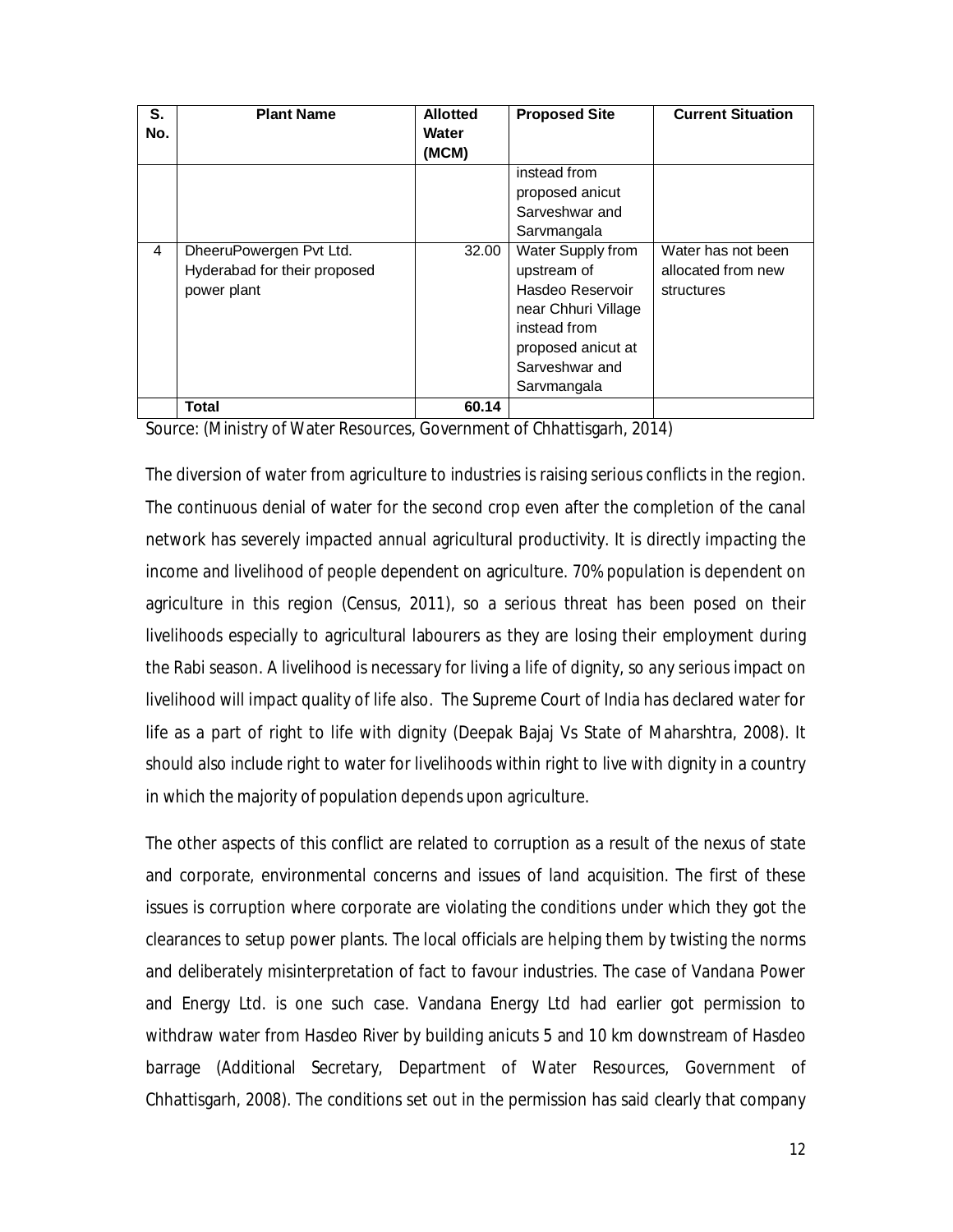| S.<br>No. | <b>Plant Name</b>            | <b>Allotted</b><br>Water<br>(MCM) | <b>Proposed Site</b> | <b>Current Situation</b> |
|-----------|------------------------------|-----------------------------------|----------------------|--------------------------|
|           |                              |                                   | instead from         |                          |
|           |                              |                                   | proposed anicut      |                          |
|           |                              |                                   | Sarveshwar and       |                          |
|           |                              |                                   | Sarvmangala          |                          |
| 4         | DheeruPowergen Pvt Ltd.      | 32.00                             | Water Supply from    | Water has not been       |
|           | Hyderabad for their proposed |                                   | upstream of          | allocated from new       |
|           | power plant                  |                                   | Hasdeo Reservoir     | structures               |
|           |                              |                                   | near Chhuri Village  |                          |
|           |                              |                                   | instead from         |                          |
|           |                              |                                   | proposed anicut at   |                          |
|           |                              |                                   | Sarveshwar and       |                          |
|           |                              |                                   | Sarvmangala          |                          |
|           | Total                        | 60.14                             |                      |                          |

Source: (Ministry of Water Resources, Government of Chhattisgarh, 2014)

The diversion of water from agriculture to industries is raising serious conflicts in the region. The continuous denial of water for the second crop even after the completion of the canal network has severely impacted annual agricultural productivity. It is directly impacting the income and livelihood of people dependent on agriculture. 70% population is dependent on agriculture in this region (Census, 2011), so a serious threat has been posed on their livelihoods especially to agricultural labourers as they are losing their employment during the Rabi season. A livelihood is necessary for living a life of dignity, so any serious impact on livelihood will impact quality of life also. The Supreme Court of India has declared water for life as a part of right to life with dignity (Deepak Bajaj Vs State of Maharshtra, 2008). It should also include right to water for livelihoods within right to live with dignity in a country in which the majority of population depends upon agriculture.

The other aspects of this conflict are related to corruption as a result of the nexus of state and corporate, environmental concerns and issues of land acquisition. The first of these issues is corruption where corporate are violating the conditions under which they got the clearances to setup power plants. The local officials are helping them by twisting the norms and deliberately misinterpretation of fact to favour industries. The case of Vandana Power and Energy Ltd. is one such case. Vandana Energy Ltd had earlier got permission to withdraw water from Hasdeo River by building anicuts 5 and 10 km downstream of Hasdeo barrage (Additional Secretary, Department of Water Resources, Government of Chhattisgarh, 2008). The conditions set out in the permission has said clearly that company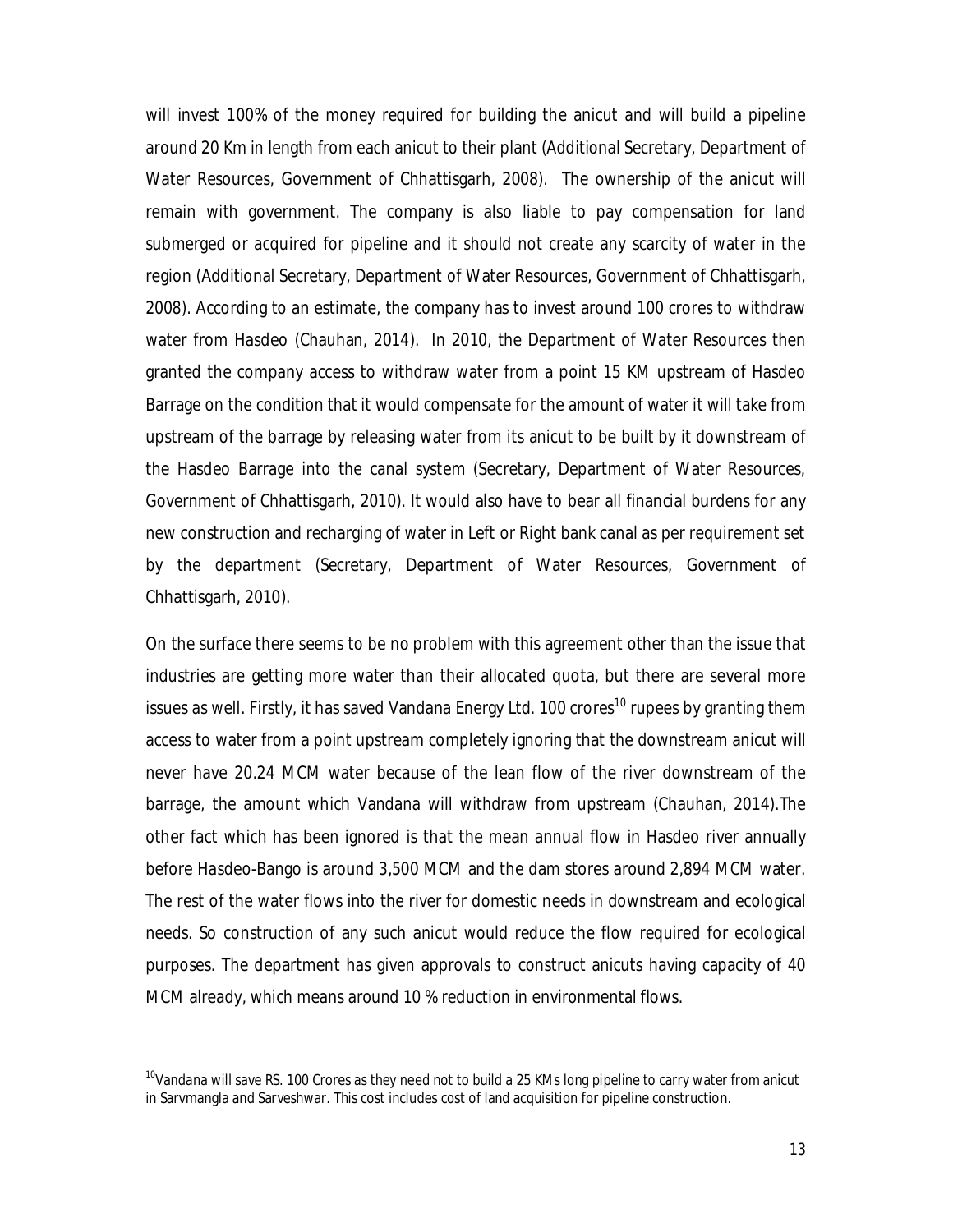will invest 100% of the money required for building the anicut and will build a pipeline around 20 Km in length from each anicut to their plant (Additional Secretary, Department of Water Resources, Government of Chhattisgarh, 2008). The ownership of the anicut will remain with government. The company is also liable to pay compensation for land submerged or acquired for pipeline and it should not create any scarcity of water in the region (Additional Secretary, Department of Water Resources, Government of Chhattisgarh, 2008). According to an estimate, the company has to invest around 100 crores to withdraw water from Hasdeo (Chauhan, 2014). In 2010, the Department of Water Resources then granted the company access to withdraw water from a point 15 KM upstream of Hasdeo Barrage on the condition that it would compensate for the amount of water it will take from upstream of the barrage by releasing water from its anicut to be built by it downstream of the Hasdeo Barrage into the canal system (Secretary, Department of Water Resources, Government of Chhattisgarh, 2010). It would also have to bear all financial burdens for any new construction and recharging of water in Left or Right bank canal as per requirement set by the department (Secretary, Department of Water Resources, Government of Chhattisgarh, 2010).

On the surface there seems to be no problem with this agreement other than the issue that industries are getting more water than their allocated quota, but there are several more issues as well. Firstly, it has saved Vandana Energy Ltd. 100 crores<sup>10</sup> rupees by granting them access to water from a point upstream completely ignoring that the downstream anicut will never have 20.24 MCM water because of the lean flow of the river downstream of the barrage, the amount which Vandana will withdraw from upstream (Chauhan, 2014).The other fact which has been ignored is that the mean annual flow in Hasdeo river annually before Hasdeo-Bango is around 3,500 MCM and the dam stores around 2,894 MCM water. The rest of the water flows into the river for domestic needs in downstream and ecological needs. So construction of any such anicut would reduce the flow required for ecological purposes. The department has given approvals to construct anicuts having capacity of 40 MCM already, which means around 10 % reduction in environmental flows.

 $\overline{a}$ 

 $^{10}$ Vandana will save RS. 100 Crores as they need not to build a 25 KMs long pipeline to carry water from anicut in Sarvmangla and Sarveshwar. This cost includes cost of land acquisition for pipeline construction.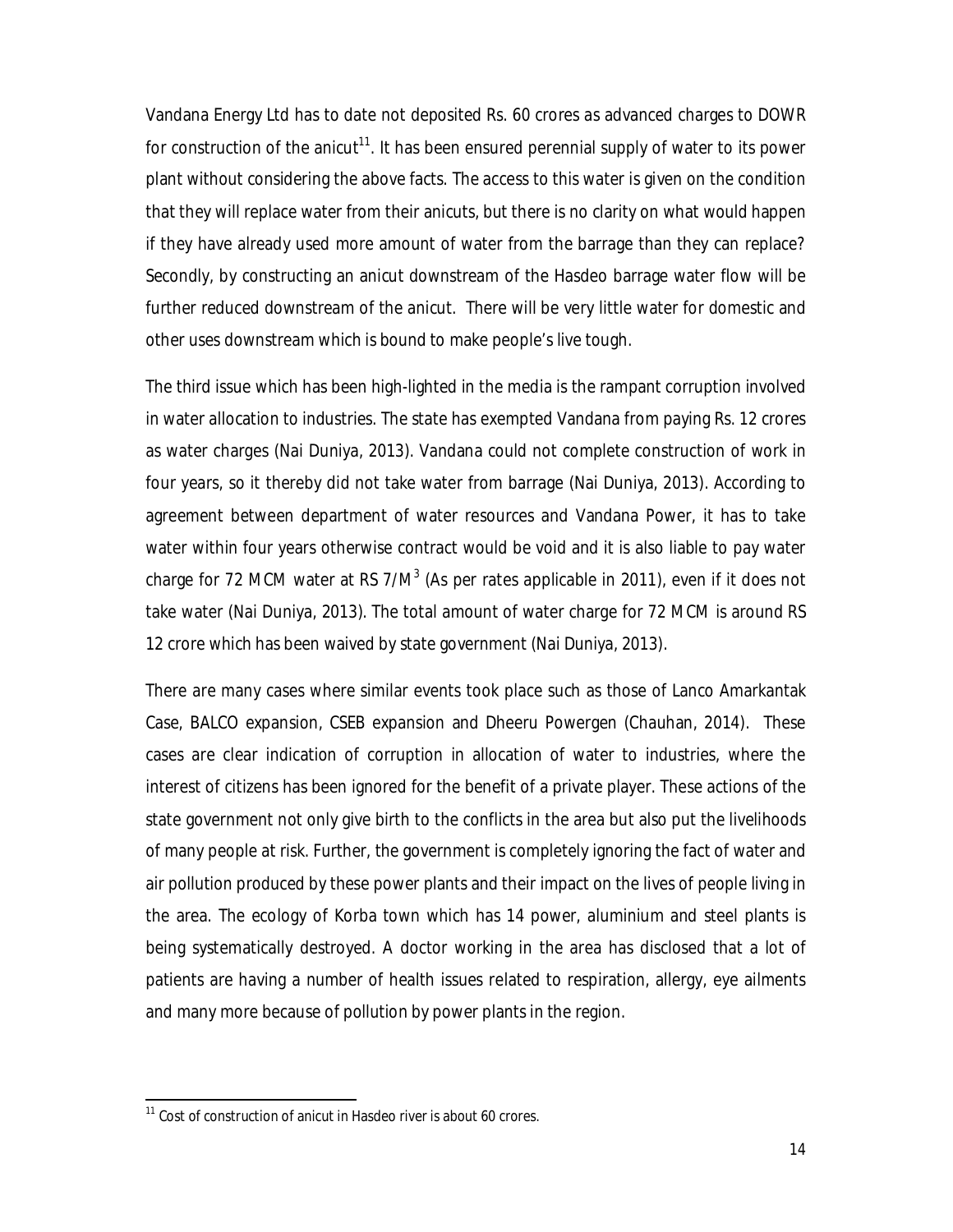Vandana Energy Ltd has to date not deposited Rs. 60 crores as advanced charges to DOWR for construction of the anicut<sup>11</sup>. It has been ensured perennial supply of water to its power plant without considering the above facts. The access to this water is given on the condition that they will replace water from their anicuts, but there is no clarity on what would happen if they have already used more amount of water from the barrage than they can replace? Secondly, by constructing an anicut downstream of the Hasdeo barrage water flow will be further reduced downstream of the anicut. There will be very little water for domestic and other uses downstream which is bound to make people's live tough.

The third issue which has been high-lighted in the media is the rampant corruption involved in water allocation to industries. The state has exempted Vandana from paying Rs. 12 crores as water charges (Nai Duniya, 2013). Vandana could not complete construction of work in four years, so it thereby did not take water from barrage (Nai Duniya, 2013). According to agreement between department of water resources and Vandana Power, it has to take water within four years otherwise contract would be void and it is also liable to pay water charge for 72 MCM water at RS 7/M<sup>3</sup> (As per rates applicable in 2011), even if it does not take water (Nai Duniya, 2013). The total amount of water charge for 72 MCM is around RS 12 crore which has been waived by state government (Nai Duniya, 2013).

There are many cases where similar events took place such as those of Lanco Amarkantak Case, BALCO expansion, CSEB expansion and Dheeru Powergen (Chauhan, 2014). These cases are clear indication of corruption in allocation of water to industries, where the interest of citizens has been ignored for the benefit of a private player. These actions of the state government not only give birth to the conflicts in the area but also put the livelihoods of many people at risk. Further, the government is completely ignoring the fact of water and air pollution produced by these power plants and their impact on the lives of people living in the area. The ecology of Korba town which has 14 power, aluminium and steel plants is being systematically destroyed. A doctor working in the area has disclosed that a lot of patients are having a number of health issues related to respiration, allergy, eye ailments and many more because of pollution by power plants in the region.

1

 $11$  Cost of construction of anicut in Hasdeo river is about 60 crores.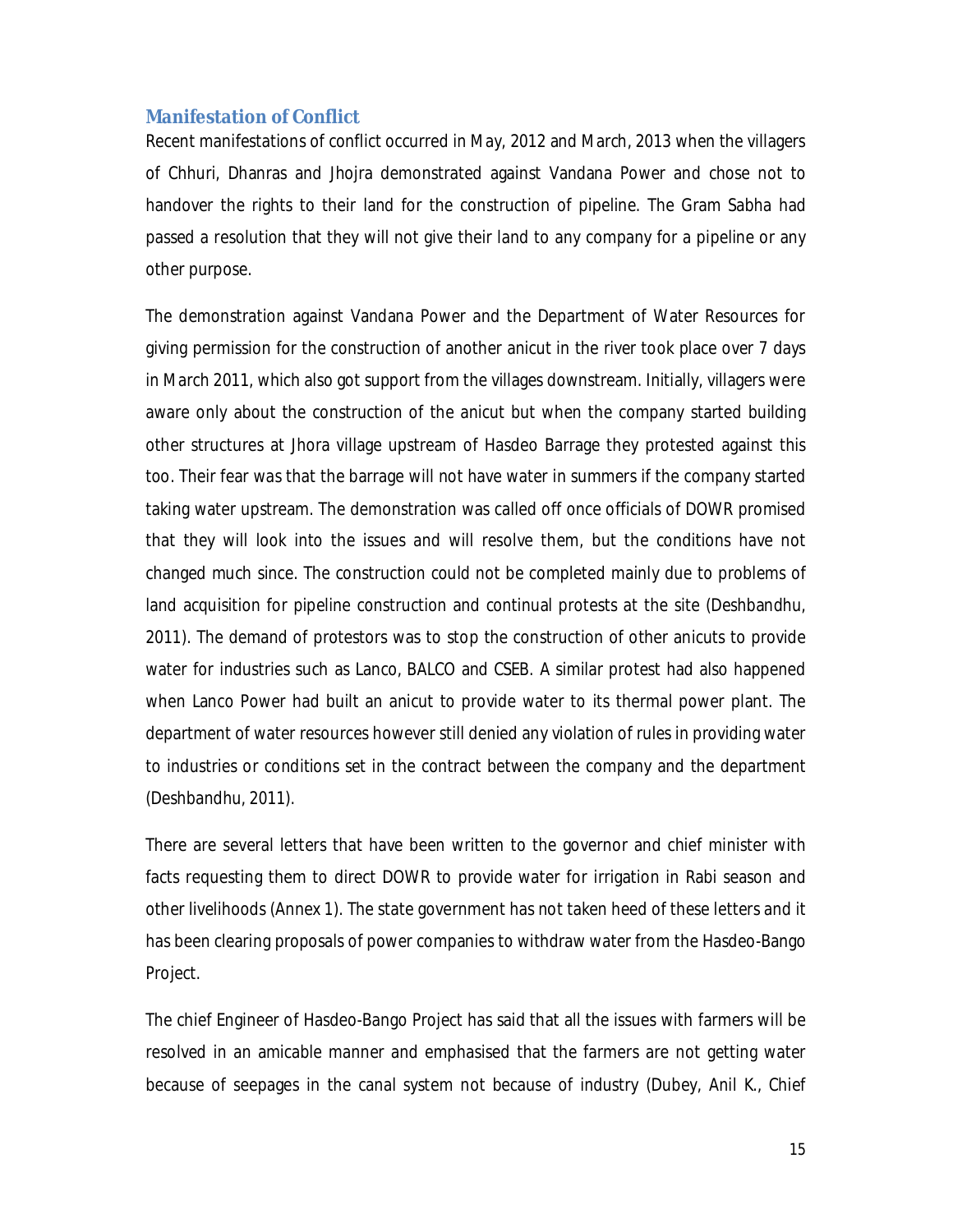### **Manifestation of Conflict**

Recent manifestations of conflict occurred in May, 2012 and March, 2013 when the villagers of Chhuri, Dhanras and Jhojra demonstrated against Vandana Power and chose not to handover the rights to their land for the construction of pipeline. The Gram Sabha had passed a resolution that they will not give their land to any company for a pipeline or any other purpose.

The demonstration against Vandana Power and the Department of Water Resources for giving permission for the construction of another anicut in the river took place over 7 days in March 2011, which also got support from the villages downstream. Initially, villagers were aware only about the construction of the anicut but when the company started building other structures at Jhora village upstream of Hasdeo Barrage they protested against this too. Their fear was that the barrage will not have water in summers if the company started taking water upstream. The demonstration was called off once officials of DOWR promised that they will look into the issues and will resolve them, but the conditions have not changed much since. The construction could not be completed mainly due to problems of land acquisition for pipeline construction and continual protests at the site (Deshbandhu, 2011). The demand of protestors was to stop the construction of other anicuts to provide water for industries such as Lanco, BALCO and CSEB. A similar protest had also happened when Lanco Power had built an anicut to provide water to its thermal power plant. The department of water resources however still denied any violation of rules in providing water to industries or conditions set in the contract between the company and the department (Deshbandhu, 2011).

There are several letters that have been written to the governor and chief minister with facts requesting them to direct DOWR to provide water for irrigation in Rabi season and other livelihoods (Annex 1). The state government has not taken heed of these letters and it has been clearing proposals of power companies to withdraw water from the Hasdeo-Bango Project.

The chief Engineer of Hasdeo-Bango Project has said that all the issues with farmers will be resolved in an amicable manner and emphasised that the farmers are not getting water because of seepages in the canal system not because of industry (Dubey, Anil K., Chief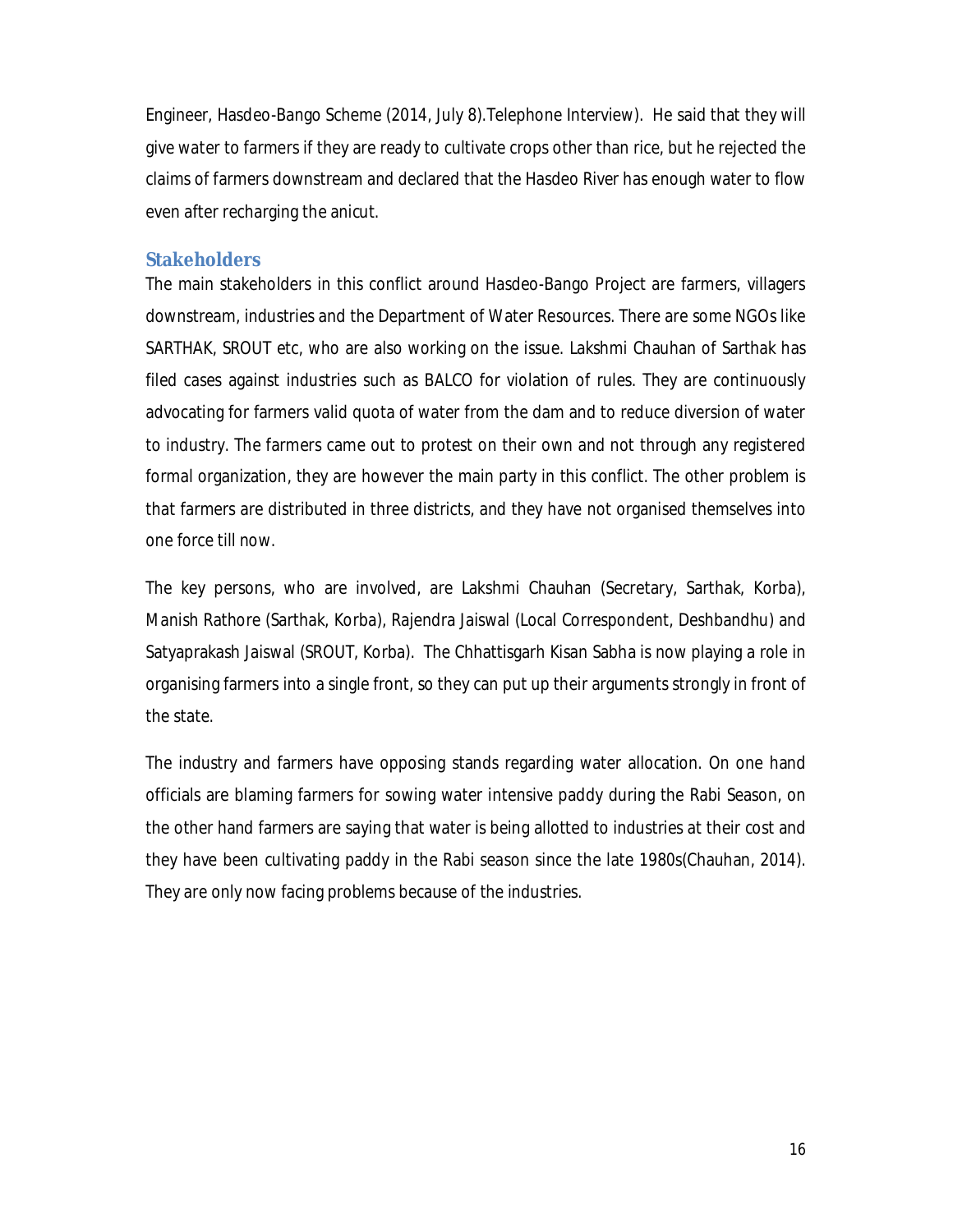Engineer, Hasdeo-Bango Scheme (2014, July 8).Telephone Interview). He said that they will give water to farmers if they are ready to cultivate crops other than rice, but he rejected the claims of farmers downstream and declared that the Hasdeo River has enough water to flow even after recharging the anicut.

#### **Stakeholders**

The main stakeholders in this conflict around Hasdeo-Bango Project are farmers, villagers downstream, industries and the Department of Water Resources. There are some NGOs like SARTHAK, SROUT etc, who are also working on the issue. Lakshmi Chauhan of Sarthak has filed cases against industries such as BALCO for violation of rules. They are continuously advocating for farmers valid quota of water from the dam and to reduce diversion of water to industry. The farmers came out to protest on their own and not through any registered formal organization, they are however the main party in this conflict. The other problem is that farmers are distributed in three districts, and they have not organised themselves into one force till now.

The key persons, who are involved, are Lakshmi Chauhan (Secretary, Sarthak, Korba), Manish Rathore (Sarthak, Korba), Rajendra Jaiswal (Local Correspondent, Deshbandhu) and Satyaprakash Jaiswal (SROUT, Korba). The Chhattisgarh Kisan Sabha is now playing a role in organising farmers into a single front, so they can put up their arguments strongly in front of the state.

The industry and farmers have opposing stands regarding water allocation. On one hand officials are blaming farmers for sowing water intensive paddy during the Rabi Season, on the other hand farmers are saying that water is being allotted to industries at their cost and they have been cultivating paddy in the Rabi season since the late 1980s(Chauhan, 2014). They are only now facing problems because of the industries.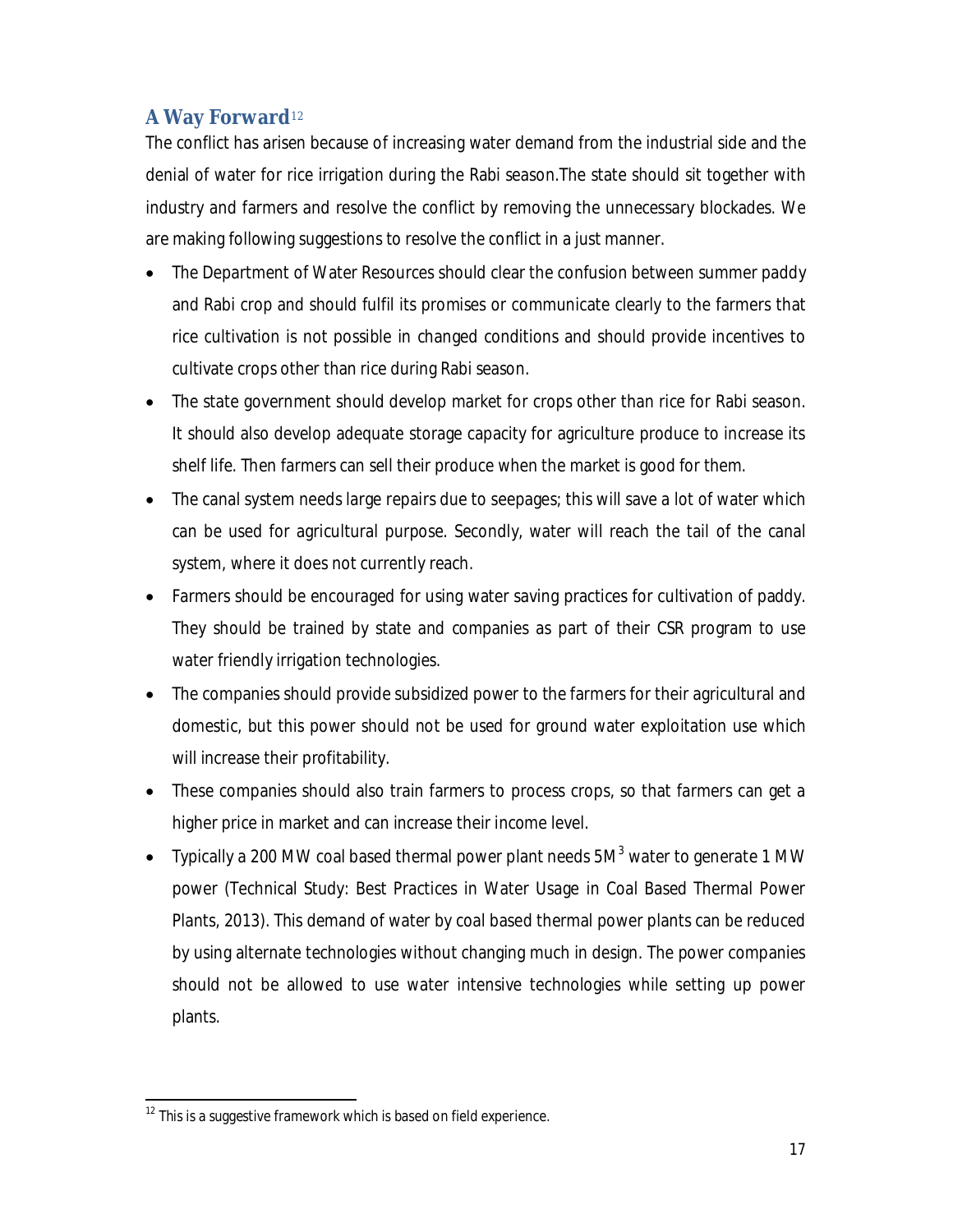# **A Way Forward**<sup>12</sup>

The conflict has arisen because of increasing water demand from the industrial side and the denial of water for rice irrigation during the Rabi season.The state should sit together with industry and farmers and resolve the conflict by removing the unnecessary blockades. We are making following suggestions to resolve the conflict in a just manner.

- The Department of Water Resources should clear the confusion between summer paddy and Rabi crop and should fulfil its promises or communicate clearly to the farmers that rice cultivation is not possible in changed conditions and should provide incentives to cultivate crops other than rice during Rabi season.
- The state government should develop market for crops other than rice for Rabi season. It should also develop adequate storage capacity for agriculture produce to increase its shelf life. Then farmers can sell their produce when the market is good for them.
- The canal system needs large repairs due to seepages; this will save a lot of water which can be used for agricultural purpose. Secondly, water will reach the tail of the canal system, where it does not currently reach.
- Farmers should be encouraged for using water saving practices for cultivation of paddy. They should be trained by state and companies as part of their CSR program to use water friendly irrigation technologies.
- The companies should provide subsidized power to the farmers for their agricultural and domestic, but this power should not be used for ground water exploitation use which will increase their profitability.
- These companies should also train farmers to process crops, so that farmers can get a higher price in market and can increase their income level.
- Typically a 200 MW coal based thermal power plant needs  $5M<sup>3</sup>$  water to generate 1 MW power (Technical Study: Best Practices in Water Usage in Coal Based Thermal Power Plants, 2013). This demand of water by coal based thermal power plants can be reduced by using alternate technologies without changing much in design. The power companies should not be allowed to use water intensive technologies while setting up power plants.

<sup>1</sup>  $12$  This is a suggestive framework which is based on field experience.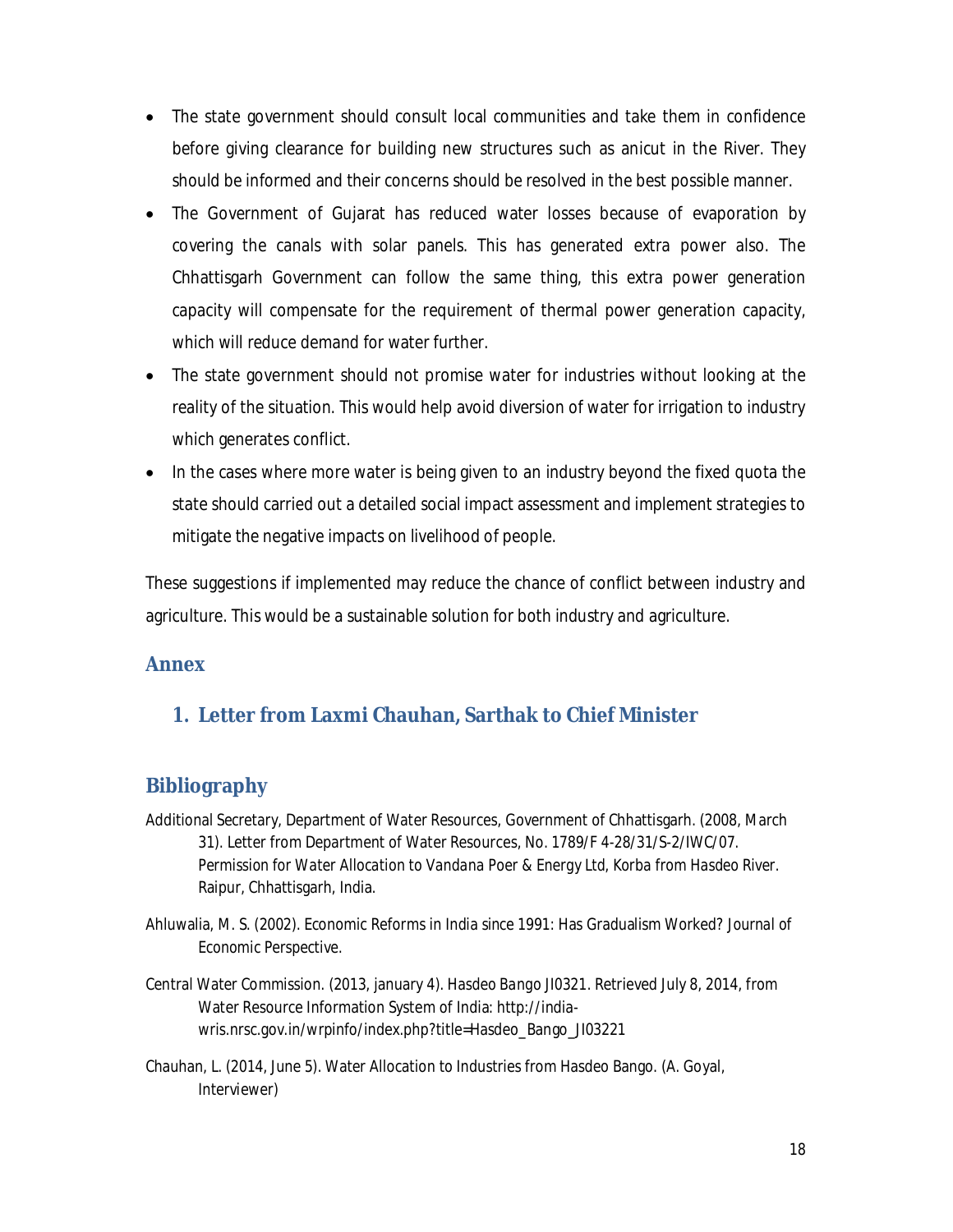- The state government should consult local communities and take them in confidence before giving clearance for building new structures such as anicut in the River. They should be informed and their concerns should be resolved in the best possible manner.
- The Government of Gujarat has reduced water losses because of evaporation by covering the canals with solar panels. This has generated extra power also. The Chhattisgarh Government can follow the same thing, this extra power generation capacity will compensate for the requirement of thermal power generation capacity, which will reduce demand for water further.
- The state government should not promise water for industries without looking at the reality of the situation. This would help avoid diversion of water for irrigation to industry which generates conflict.
- In the cases where more water is being given to an industry beyond the fixed quota the state should carried out a detailed social impact assessment and implement strategies to mitigate the negative impacts on livelihood of people.

These suggestions if implemented may reduce the chance of conflict between industry and agriculture. This would be a sustainable solution for both industry and agriculture.

# **Annex**

# **1. Letter from Laxmi Chauhan, Sarthak to Chief Minister**

# **Bibliography**

- Additional Secretary, Department of Water Resources, Government of Chhattisgarh. (2008, March 31). Letter from Department of Water Resources, No. 1789/F 4-28/31/S-2/IWC/07. *Permission for Water Allocation to Vandana Poer & Energy Ltd, Korba from Hasdeo River*. Raipur, Chhattisgarh, India.
- Ahluwalia, M. S. (2002). Economic Reforms in India since 1991: Has Gradualism Worked? *Journal of Economic Perspective*.
- Central Water Commission. (2013, january 4). *Hasdeo Bango JI0321*. Retrieved July 8, 2014, from Water Resource Information System of India: http://indiawris.nrsc.gov.in/wrpinfo/index.php?title=Hasdeo\_Bango\_JI03221
- Chauhan, L. (2014, June 5). Water Allocation to Industries from Hasdeo Bango. (A. Goyal, Interviewer)